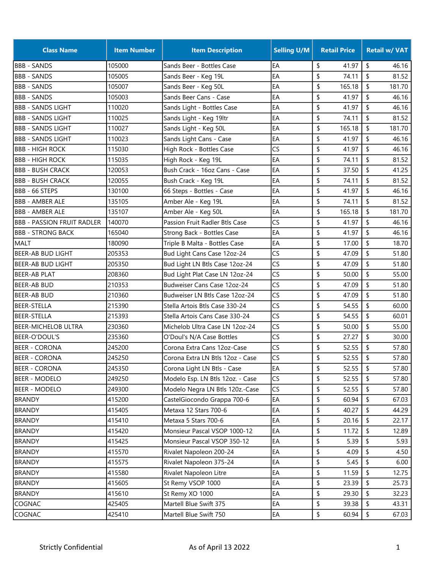| <b>Class Name</b>                 | <b>Item Number</b> | <b>Item Description</b>          | <b>Selling U/M</b> | <b>Retail Price</b> | <b>Retail w/ VAT</b> |
|-----------------------------------|--------------------|----------------------------------|--------------------|---------------------|----------------------|
| <b>BBB - SANDS</b>                | 105000             | Sands Beer - Bottles Case        | EA                 | \$<br>41.97         | \$<br>46.16          |
| <b>BBB - SANDS</b>                | 105005             | Sands Beer - Keg 19L             | EA                 | \$<br>74.11         | \$<br>81.52          |
| <b>BBB - SANDS</b>                | 105007             | Sands Beer - Keg 50L             | EA                 | \$<br>165.18        | \$<br>181.70         |
| <b>BBB - SANDS</b>                | 105003             | Sands Beer Cans - Case           | EA                 | \$<br>41.97         | \$<br>46.16          |
| <b>BBB - SANDS LIGHT</b>          | 110020             | Sands Light - Bottles Case       | EA                 | \$<br>41.97         | \$<br>46.16          |
| <b>BBB - SANDS LIGHT</b>          | 110025             | Sands Light - Keg 19ltr          | EA                 | \$<br>74.11         | \$<br>81.52          |
| <b>BBB - SANDS LIGHT</b>          | 110027             | Sands Light - Keg 50L            | EA                 | \$<br>165.18        | \$<br>181.70         |
| <b>BBB - SANDS LIGHT</b>          | 110023             | Sands Light Cans - Case          | EA                 | \$<br>41.97         | \$<br>46.16          |
| <b>BBB - HIGH ROCK</b>            | 115030             | High Rock - Bottles Case         | CS                 | \$<br>41.97         | \$<br>46.16          |
| <b>BBB - HIGH ROCK</b>            | 115035             | High Rock - Keg 19L              | EA                 | \$<br>74.11         | \$<br>81.52          |
| <b>BBB - BUSH CRACK</b>           | 120053             | Bush Crack - 16oz Cans - Case    | EA                 | \$<br>37.50         | \$<br>41.25          |
| <b>BBB - BUSH CRACK</b>           | 120055             | Bush Crack - Keg 19L             | EA                 | \$<br>74.11         | \$<br>81.52          |
| BBB - 66 STEPS                    | 130100             | 66 Steps - Bottles - Case        | EA                 | \$<br>41.97         | \$<br>46.16          |
| <b>BBB - AMBER ALE</b>            | 135105             | Amber Ale - Keg 19L              | EA                 | \$<br>74.11         | \$<br>81.52          |
| <b>BBB - AMBER ALE</b>            | 135107             | Amber Ale - Keg 50L              | EA                 | \$<br>165.18        | \$<br>181.70         |
| <b>BBB - PASSION FRUIT RADLER</b> | 140070             | Passion Fruit Radler Btls Case   | CS                 | \$<br>41.97         | \$<br>46.16          |
| <b>BBB - STRONG BACK</b>          | 165040             | Strong Back - Bottles Case       | EA                 | \$<br>41.97         | \$<br>46.16          |
| <b>MALT</b>                       | 180090             | Triple B Malta - Bottles Case    | EA                 | \$<br>17.00         | \$<br>18.70          |
| <b>BEER-AB BUD LIGHT</b>          | 205353             | Bud Light Cans Case 12oz-24      | CS                 | \$<br>47.09         | \$<br>51.80          |
| BEER-AB BUD LIGHT                 | 205350             | Bud Light LN Btls Case 12oz-24   | CS                 | \$<br>47.09         | \$<br>51.80          |
| BEER-AB PLAT                      | 208360             | Bud Light Plat Case LN 12oz-24   | CS                 | \$<br>50.00         | \$<br>55.00          |
| BEER-AB BUD                       | 210353             | Budweiser Cans Case 12oz-24      | CS                 | \$<br>47.09         | \$<br>51.80          |
| BEER-AB BUD                       | 210360             | Budweiser LN Btls Case 12oz-24   | CS                 | \$<br>47.09         | \$<br>51.80          |
| <b>BEER-STELLA</b>                | 215390             | Stella Artois Btls Case 330-24   | CS                 | \$<br>54.55         | \$<br>60.00          |
| <b>BEER-STELLA</b>                | 215393             | Stella Artois Cans Case 330-24   | CS                 | \$<br>54.55         | \$<br>60.01          |
| <b>BEER-MICHELOB ULTRA</b>        | 230360             | Michelob Ultra Case LN 12oz-24   | CS                 | \$<br>50.00         | \$<br>55.00          |
| BEER-O'DOUL'S                     | 235360             | O'Doul's N/A Case Bottles        | CS                 | \$<br>27.27         | \$<br>30.00          |
| BEER - CORONA                     | 245200             | Corona Extra Cans 12oz-Case      | CS                 | \$<br>52.55         | \$<br>57.80          |
| BEER - CORONA                     | 245250             | Corona Extra LN Btls 12oz - Case | CS                 | \$<br>52.55         | \$<br>57.80          |
| <b>BEER - CORONA</b>              | 245350             | Corona Light LN Btls - Case      | EA                 | \$<br>52.55         | \$<br>57.80          |
| <b>BEER - MODELO</b>              | 249250             | Modelo Esp. LN Btls 12oz. - Case | CS                 | \$<br>52.55         | \$<br>57.80          |
| <b>BEER - MODELO</b>              | 249300             | Modelo Negra LN Btls 120z.-Case  | CS                 | \$<br>52.55         | \$<br>57.80          |
| <b>BRANDY</b>                     | 415200             | CastelGiocondo Grappa 700-6      | EA                 | 60.94<br>\$         | \$<br>67.03          |
| <b>BRANDY</b>                     | 415405             | Metaxa 12 Stars 700-6            | EA                 | \$<br>40.27         | \$<br>44.29          |
| <b>BRANDY</b>                     | 415410             | Metaxa 5 Stars 700-6             | EA                 | \$<br>20.16         | \$<br>22.17          |
| <b>BRANDY</b>                     | 415420             | Monsieur Pascal VSOP 1000-12     | EA                 | \$<br>11.72         | \$<br>12.89          |
| <b>BRANDY</b>                     | 415425             | Monsieur Pascal VSOP 350-12      | EA                 | \$<br>5.39          | \$<br>5.93           |
| <b>BRANDY</b>                     | 415570             | Rivalet Napoleon 200-24          | EA                 | \$<br>4.09          | \$<br>4.50           |
| <b>BRANDY</b>                     | 415575             | Rivalet Napoleon 375-24          | EA                 | \$<br>5.45          | \$<br>6.00           |
| <b>BRANDY</b>                     | 415580             | Rivalet Napoleon Litre           | EA                 | \$<br>11.59         | $\sqrt{2}$<br>12.75  |
| <b>BRANDY</b>                     | 415605             | St Remy VSOP 1000                | EA                 | \$<br>23.39         | \$<br>25.73          |
| <b>BRANDY</b>                     | 415610             | St Remy XO 1000                  | EA                 | \$<br>29.30         | \$<br>32.23          |
| COGNAC                            | 425405             | Martell Blue Swift 375           | EA                 | \$<br>39.38         | \$<br>43.31          |
| COGNAC                            | 425410             | Martell Blue Swift 750           | EA                 | \$<br>60.94         | \$<br>67.03          |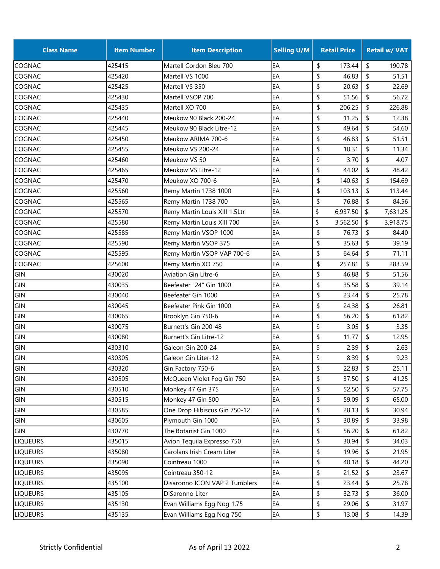| <b>Class Name</b> | <b>Item Number</b> | <b>Item Description</b>       | <b>Selling U/M</b> | <b>Retail Price</b> | <b>Retail w/ VAT</b> |
|-------------------|--------------------|-------------------------------|--------------------|---------------------|----------------------|
| COGNAC            | 425415             | Martell Cordon Bleu 700       | EA                 | \$<br>173.44        | \$<br>190.78         |
| <b>COGNAC</b>     | 425420             | Martell VS 1000               | EA                 | \$<br>46.83         | \$<br>51.51          |
| COGNAC            | 425425             | Martell VS 350                | EA                 | \$<br>20.63         | \$<br>22.69          |
| COGNAC            | 425430             | Martell VSOP 700              | EA                 | \$<br>51.56         | \$<br>56.72          |
| COGNAC            | 425435             | Martell XO 700                | EA                 | \$<br>206.25        | \$<br>226.88         |
| COGNAC            | 425440             | Meukow 90 Black 200-24        | EA                 | \$<br>11.25         | \$<br>12.38          |
| COGNAC            | 425445             | Meukow 90 Black Litre-12      | EA                 | \$<br>49.64         | \$<br>54.60          |
| COGNAC            | 425450             | Meukow ARIMA 700-6            | EA                 | \$<br>46.83         | \$<br>51.51          |
| COGNAC            | 425455             | Meukow VS 200-24              | EA                 | \$<br>10.31         | \$<br>11.34          |
| COGNAC            | 425460             | Meukow VS 50                  | EA                 | \$<br>3.70          | \$<br>4.07           |
| COGNAC            | 425465             | Meukow VS Litre-12            | EA                 | \$<br>44.02         | \$<br>48.42          |
| COGNAC            | 425470             | Meukow XO 700-6               | EA                 | \$<br>140.63        | \$<br>154.69         |
| COGNAC            | 425560             | Remy Martin 1738 1000         | EA                 | \$<br>103.13        | \$<br>113.44         |
| <b>COGNAC</b>     | 425565             | Remy Martin 1738 700          | EA                 | \$<br>76.88         | \$<br>84.56          |
| COGNAC            | 425570             | Remy Martin Louis XIII 1.5Ltr | EA                 | \$<br>6,937.50      | \$<br>7,631.25       |
| COGNAC            | 425580             | Remy Martin Louis XIII 700    | EA                 | \$<br>3,562.50      | \$<br>3,918.75       |
| COGNAC            | 425585             | Remy Martin VSOP 1000         | EA                 | \$<br>76.73         | \$<br>84.40          |
| COGNAC            | 425590             | Remy Martin VSOP 375          | EA                 | \$<br>35.63         | \$<br>39.19          |
| COGNAC            | 425595             | Remy Martin VSOP VAP 700-6    | EA                 | \$<br>64.64         | \$<br>71.11          |
| COGNAC            | 425600             | Remy Martin XO 750            | EA                 | \$<br>257.81        | \$<br>283.59         |
| GIN               | 430020             | <b>Aviation Gin Litre-6</b>   | EA                 | \$<br>46.88         | \$<br>51.56          |
| GIN               | 430035             | Beefeater "24" Gin 1000       | EA                 | \$<br>35.58         | \$<br>39.14          |
| GIN               | 430040             | Beefeater Gin 1000            | EA                 | \$<br>23.44         | \$<br>25.78          |
| GIN               | 430045             | Beefeater Pink Gin 1000       | EA                 | \$<br>24.38         | \$<br>26.81          |
| GIN               | 430065             | Brooklyn Gin 750-6            | EA                 | \$<br>56.20         | \$<br>61.82          |
| GIN               | 430075             | Burnett's Gin 200-48          | EA                 | \$<br>3.05          | \$<br>3.35           |
| GIN               | 430080             | Burnett's Gin Litre-12        | EA                 | \$<br>11.77         | \$<br>12.95          |
| GIN               | 430310             | Galeon Gin 200-24             | EA                 | \$<br>2.39          | \$<br>2.63           |
| GIN               | 430305             | Galeon Gin Liter-12           | EA                 | \$<br>8.39          | \$<br>9.23           |
| GIN               | 430320             | Gin Factory 750-6             | EA                 | \$<br>22.83         | \$<br>25.11          |
| GIN               | 430505             | McQueen Violet Fog Gin 750    | EA                 | \$<br>37.50         | \$<br>41.25          |
| GIN               | 430510             | Monkey 47 Gin 375             | EA                 | \$<br>52.50         | \$<br>57.75          |
| GIN               | 430515             | Monkey 47 Gin 500             | EA                 | \$<br>59.09         | \$<br>65.00          |
| GIN               | 430585             | One Drop Hibiscus Gin 750-12  | EA                 | \$<br>28.13         | \$<br>30.94          |
| GIN               | 430605             | Plymouth Gin 1000             | EA                 | \$<br>30.89         | \$<br>33.98          |
| GIN               | 430770             | The Botanist Gin 1000         | EA                 | \$<br>56.20         | \$<br>61.82          |
| <b>LIQUEURS</b>   | 435015             | Avion Tequila Expresso 750    | EA                 | \$<br>30.94         | \$<br>34.03          |
| <b>LIQUEURS</b>   | 435080             | Carolans Irish Cream Liter    | EA                 | \$<br>19.96         | \$<br>21.95          |
| <b>LIQUEURS</b>   | 435090             | Cointreau 1000                | EA                 | \$<br>40.18         | \$<br>44.20          |
| <b>LIQUEURS</b>   | 435095             | Cointreau 350-12              | EA                 | \$<br>21.52         | \$<br>23.67          |
| <b>LIQUEURS</b>   | 435100             | Disaronno ICON VAP 2 Tumblers | EA                 | \$<br>23.44         | \$<br>25.78          |
| <b>LIQUEURS</b>   | 435105             | DiSaronno Liter               | EA                 | \$<br>32.73         | \$<br>36.00          |
| <b>LIQUEURS</b>   | 435130             | Evan Williams Egg Nog 1.75    | EA                 | \$<br>29.06         | \$<br>31.97          |
| <b>LIQUEURS</b>   | 435135             | Evan Williams Egg Nog 750     | EA                 | \$<br>13.08         | \$<br>14.39          |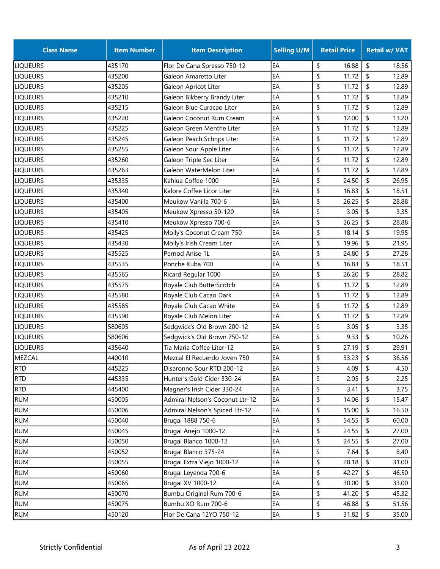| <b>Class Name</b> | <b>Item Number</b> | <b>Item Description</b>         | <b>Selling U/M</b> | <b>Retail Price</b> | <b>Retail w/ VAT</b> |
|-------------------|--------------------|---------------------------------|--------------------|---------------------|----------------------|
| <b>LIQUEURS</b>   | 435170             | Flor De Cana Spresso 750-12     | EA                 | \$<br>16.88         | \$<br>18.56          |
| <b>LIQUEURS</b>   | 435200             | Galeon Amaretto Liter           | EA                 | \$<br>11.72         | \$<br>12.89          |
| <b>LIQUEURS</b>   | 435205             | Galeon Apricot Liter            | EA                 | \$<br>11.72         | \$<br>12.89          |
| <b>LIQUEURS</b>   | 435210             | Galeon Blkberry Brandy Liter    | EA                 | \$<br>11.72         | \$<br>12.89          |
| <b>LIQUEURS</b>   | 435215             | Galeon Blue Curacao Liter       | EA                 | \$<br>11.72         | \$<br>12.89          |
| <b>LIQUEURS</b>   | 435220             | Galeon Coconut Rum Cream        | EA                 | \$<br>12.00         | \$<br>13.20          |
| <b>LIQUEURS</b>   | 435225             | Galeon Green Menthe Liter       | EA                 | 11.72<br>\$         | \$<br>12.89          |
| <b>LIQUEURS</b>   | 435245             | Galeon Peach Schnps Liter       | EA                 | \$<br>11.72         | \$<br>12.89          |
| <b>LIQUEURS</b>   | 435255             | Galeon Sour Apple Liter         | EA                 | \$<br>11.72         | \$<br>12.89          |
| <b>LIQUEURS</b>   | 435260             | Galeon Triple Sec Liter         | EA                 | \$<br>11.72         | \$<br>12.89          |
| <b>LIQUEURS</b>   | 435263             | Galeon WaterMelon Liter         | EA                 | \$<br>11.72         | \$<br>12.89          |
| <b>LIQUEURS</b>   | 435335             | Kahlua Coffee 1000              | EA                 | \$<br>24.50         | \$<br>26.95          |
| <b>LIQUEURS</b>   | 435340             | Kalore Coffee Licor Liter       | EA                 | \$<br>16.83         | \$<br>18.51          |
| <b>LIQUEURS</b>   | 435400             | Meukow Vanilla 700-6            | EA                 | \$<br>26.25         | \$<br>28.88          |
| <b>LIQUEURS</b>   | 435405             | Meukow Xpresso 50-120           | EA                 | \$<br>3.05          | \$<br>3.35           |
| <b>LIQUEURS</b>   | 435410             | Meukow Xpresso 700-6            | EA                 | \$<br>26.25         | \$<br>28.88          |
| <b>LIQUEURS</b>   | 435425             | Molly's Coconut Cream 750       | EA                 | \$<br>18.14         | \$<br>19.95          |
| <b>LIQUEURS</b>   | 435430             | Molly's Irish Cream Liter       | EA                 | \$<br>19.96         | \$<br>21.95          |
| <b>LIQUEURS</b>   | 435525             | Pernod Anise 1L                 | EA                 | \$<br>24.80         | \$<br>27.28          |
| <b>LIQUEURS</b>   | 435535             | Ponche Kuba 700                 | EA                 | \$<br>16.83         | \$<br>18.51          |
| <b>LIQUEURS</b>   | 435565             | Ricard Regular 1000             | EA                 | \$<br>26.20         | \$<br>28.82          |
| <b>LIQUEURS</b>   | 435575             | Royale Club ButterScotch        | EA                 | \$<br>11.72         | \$<br>12.89          |
| <b>LIQUEURS</b>   | 435580             | Royale Club Cacao Dark          | EA                 | \$<br>11.72         | \$<br>12.89          |
| <b>LIQUEURS</b>   | 435585             | Royale Club Cacao White         | EA                 | \$<br>11.72         | \$<br>12.89          |
| <b>LIQUEURS</b>   | 435590             | Royale Club Melon Liter         | EA                 | \$<br>11.72         | \$<br>12.89          |
| <b>LIQUEURS</b>   | 580605             | Sedgwick's Old Brown 200-12     | EA                 | \$<br>3.05          | \$<br>3.35           |
| <b>LIQUEURS</b>   | 580606             | Sedgwick's Old Brown 750-12     | EA                 | \$<br>9.33          | \$<br>10.26          |
| <b>LIQUEURS</b>   | 435640             | Tia Maria Coffee Liter-12       | EA                 | \$<br>27.19         | \$<br>29.91          |
| MEZCAL            | 440010             | Mezcal El Recuerdo Joven 750    | EA                 | \$<br>33.23         | \$<br>36.56          |
| <b>RTD</b>        | 445225             | Disaronno Sour RTD 200-12       | EA                 | \$<br>4.09          | \$<br>4.50           |
| <b>RTD</b>        | 445335             | Hunter's Gold Cider 330-24      | EA                 | \$<br>2.05          | \$<br>2.25           |
| <b>RTD</b>        | 445400             | Magner's Irish Cider 330-24     | EA                 | \$<br>3.41          | \$<br>3.75           |
| <b>RUM</b>        | 450005             | Admiral Nelson's Coconut Ltr-12 | EA                 | \$<br>14.06         | \$<br>15.47          |
| <b>RUM</b>        | 450006             | Admiral Nelson's Spiced Ltr-12  | EA                 | \$<br>15.00         | \$<br>16.50          |
| <b>RUM</b>        | 450040             | Brugal 1888 750-6               | EA                 | \$<br>54.55         | \$<br>60.00          |
| <b>RUM</b>        | 450045             | Brugal Anejo 1000-12            | EA                 | \$<br>24.55         | \$<br>27.00          |
| <b>RUM</b>        | 450050             | Brugal Blanco 1000-12           | EA                 | \$<br>24.55         | \$<br>27.00          |
| <b>RUM</b>        | 450052             | Brugal Blanco 375-24            | EA                 | \$<br>7.64          | \$<br>8.40           |
| <b>RUM</b>        | 450055             | Brugal Extra Viejo 1000-12      | EA                 | \$<br>28.18         | \$<br>31.00          |
| <b>RUM</b>        | 450060             | Brugal Leyenda 700-6            | EA                 | \$<br>42.27         | \$<br>46.50          |
| <b>RUM</b>        | 450065             | <b>Brugal XV 1000-12</b>        | EA                 | \$<br>30.00         | \$<br>33.00          |
| <b>RUM</b>        | 450070             | Bumbu Original Rum 700-6        | EA                 | \$<br>41.20         | \$<br>45.32          |
| <b>RUM</b>        | 450075             | Bumbu XO Rum 700-6              | EA                 | \$<br>46.88         | \$<br>51.56          |
| <b>RUM</b>        | 450120             | Flor De Cana 12YO 750-12        | EA                 | \$<br>31.82         | \$<br>35.00          |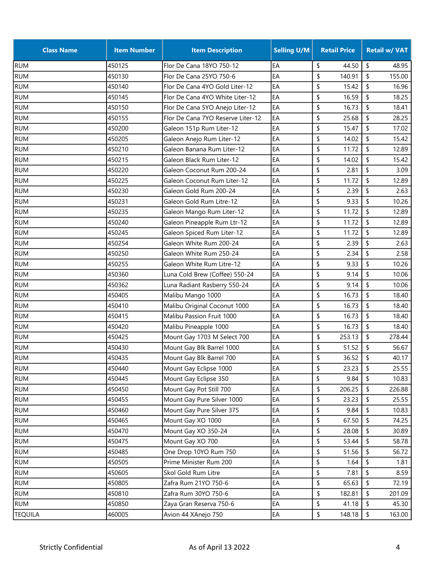| <b>Class Name</b> | <b>Item Number</b> | <b>Item Description</b>           | <b>Selling U/M</b> | <b>Retail Price</b> |            | <b>Retail w/ VAT</b> |
|-------------------|--------------------|-----------------------------------|--------------------|---------------------|------------|----------------------|
| <b>RUM</b>        | 450125             | Flor De Cana 18YO 750-12          | EA                 | \$<br>44.50         | \$         | 48.95                |
| <b>RUM</b>        | 450130             | Flor De Cana 25YO 750-6           | EA                 | \$<br>140.91        | \$         | 155.00               |
| <b>RUM</b>        | 450140             | Flor De Cana 4YO Gold Liter-12    | EA                 | \$<br>15.42         | \$         | 16.96                |
| <b>RUM</b>        | 450145             | Flor De Cana 4YO White Liter-12   | EA                 | \$<br>16.59         | \$         | 18.25                |
| <b>RUM</b>        | 450150             | Flor De Cana 5YO Anejo Liter-12   | EA                 | \$<br>16.73         | \$         | 18.41                |
| <b>RUM</b>        | 450155             | Flor De Cana 7YO Reserve Liter-12 | EA                 | \$<br>25.68         | \$         | 28.25                |
| <b>RUM</b>        | 450200             | Galeon 151p Rum Liter-12          | EA                 | \$<br>15.47         | \$         | 17.02                |
| <b>RUM</b>        | 450205             | Galeon Anejo Rum Liter-12         | EA                 | \$<br>14.02         | \$         | 15.42                |
| <b>RUM</b>        | 450210             | Galeon Banana Rum Liter-12        | EA                 | 11.72<br>\$         | \$         | 12.89                |
| <b>RUM</b>        | 450215             | Galeon Black Rum Liter-12         | EA                 | \$<br>14.02         | \$         | 15.42                |
| <b>RUM</b>        | 450220             | Galeon Coconut Rum 200-24         | EA                 | \$<br>2.81          | \$         | 3.09                 |
| <b>RUM</b>        | 450225             | Galeon Coconut Rum Liter-12       | EA                 | \$<br>11.72         | \$         | 12.89                |
| <b>RUM</b>        | 450230             | Galeon Gold Rum 200-24            | EA                 | \$<br>2.39          | \$         | 2.63                 |
| <b>RUM</b>        | 450231             | Galeon Gold Rum Litre-12          | EA                 | \$<br>9.33          | \$         | 10.26                |
| <b>RUM</b>        | 450235             | Galeon Mango Rum Liter-12         | EA                 | \$<br>11.72         | \$         | 12.89                |
| <b>RUM</b>        | 450240             | Galeon Pineapple Rum Ltr-12       | EA                 | \$<br>11.72         | \$         | 12.89                |
| <b>RUM</b>        | 450245             | Galeon Spiced Rum Liter-12        | EA                 | \$<br>11.72         | \$         | 12.89                |
| <b>RUM</b>        | 450254             | Galeon White Rum 200-24           | EA                 | \$<br>2.39          | \$         | 2.63                 |
| <b>RUM</b>        | 450250             | Galeon White Rum 250-24           | EA                 | \$<br>2.34          | \$         | 2.58                 |
| <b>RUM</b>        | 450255             | Galeon White Rum Litre-12         | EA                 | \$<br>9.33          | \$         | 10.26                |
| <b>RUM</b>        | 450360             | Luna Cold Brew (Coffee) 550-24    | EA                 | \$<br>9.14          | \$         | 10.06                |
| <b>RUM</b>        | 450362             | Luna Radiant Rasberry 550-24      | EA                 | \$<br>9.14          | \$         | 10.06                |
| <b>RUM</b>        | 450405             | Malibu Mango 1000                 | EA                 | \$<br>16.73         | \$         | 18.40                |
| <b>RUM</b>        | 450410             | Malibu Original Coconut 1000      | EA                 | \$<br>16.73         | \$         | 18.40                |
| <b>RUM</b>        | 450415             | Malibu Passion Fruit 1000         | EA                 | \$<br>16.73         | \$         | 18.40                |
| <b>RUM</b>        | 450420             | Malibu Pineapple 1000             | EA                 | 16.73<br>\$         | \$         | 18.40                |
| <b>RUM</b>        | 450425             | Mount Gay 1703 M Select 700       | EA                 | \$<br>253.13        | \$         | 278.44               |
| <b>RUM</b>        | 450430             | Mount Gay Blk Barrel 1000         | EA                 | \$<br>51.52         | \$         | 56.67                |
| <b>RUM</b>        | 450435             | Mount Gay Blk Barrel 700          | EA                 | \$<br>36.52         | \$         | 40.17                |
| <b>RUM</b>        | 450440             | Mount Gay Eclipse 1000            | EA                 | \$<br>23.23         | \$         | 25.55                |
| <b>RUM</b>        | 450445             | Mount Gay Eclipse 350             | EA                 | \$<br>9.84          | $\sqrt{2}$ | 10.83                |
| <b>RUM</b>        | 450450             | Mount Gay Pot Still 700           | EA                 | \$<br>206.25        | \$         | 226.88               |
| <b>RUM</b>        | 450455             | Mount Gay Pure Silver 1000        | EA                 | \$<br>23.23         | \$         | 25.55                |
| <b>RUM</b>        | 450460             | Mount Gay Pure Silver 375         | EA                 | \$<br>9.84          | \$         | 10.83                |
| <b>RUM</b>        | 450465             | Mount Gay XO 1000                 | EA                 | \$<br>67.50         | \$         | 74.25                |
| <b>RUM</b>        | 450470             | Mount Gay XO 350-24               | EA                 | \$<br>28.08         | \$         | 30.89                |
| <b>RUM</b>        | 450475             | Mount Gay XO 700                  | EA                 | \$<br>53.44         | \$         | 58.78                |
| <b>RUM</b>        | 450485             | One Drop 10YO Rum 750             | EA                 | \$<br>51.56         | \$         | 56.72                |
| <b>RUM</b>        | 450505             | Prime Minister Rum 200            | EA                 | \$<br>1.64          | \$         | 1.81                 |
| <b>RUM</b>        | 450605             | Skol Gold Rum Litre               | EA                 | \$<br>7.81          | \$         | 8.59                 |
| <b>RUM</b>        | 450805             | Zafra Rum 21YO 750-6              | EA                 | \$<br>65.63         | \$         | 72.19                |
| <b>RUM</b>        | 450810             | Zafra Rum 30YO 750-6              | EA                 | \$<br>182.81        | \$         | 201.09               |
| <b>RUM</b>        | 450850             | Zaya Gran Reserva 750-6           | EA                 | \$<br>41.18         | \$         | 45.30                |
| <b>TEQUILA</b>    | 460005             | Avion 44 XAnejo 750               | EA                 | \$<br>148.18        | \$         | 163.00               |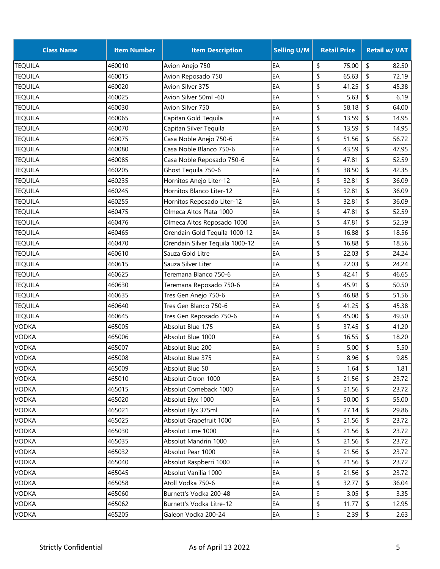| <b>Class Name</b> | <b>Item Number</b> | <b>Item Description</b>         | <b>Selling U/M</b> | <b>Retail Price</b> | <b>Retail w/ VAT</b> |
|-------------------|--------------------|---------------------------------|--------------------|---------------------|----------------------|
| <b>TEQUILA</b>    | 460010             | Avion Anejo 750                 | EA                 | \$<br>75.00         | \$<br>82.50          |
| <b>TEQUILA</b>    | 460015             | Avion Reposado 750              | EA                 | 65.63<br>\$         | \$<br>72.19          |
| <b>TEQUILA</b>    | 460020             | Avion Silver 375                | EA                 | \$<br>41.25         | \$<br>45.38          |
| <b>TEQUILA</b>    | 460025             | Avion Silver 50ml -60           | EA                 | \$<br>5.63          | \$<br>6.19           |
| <b>TEQUILA</b>    | 460030             | Avion Silver 750                | EA                 | \$<br>58.18         | \$<br>64.00          |
| <b>TEQUILA</b>    | 460065             | Capitan Gold Tequila            | EA                 | \$<br>13.59         | \$<br>14.95          |
| <b>TEQUILA</b>    | 460070             | Capitan Silver Tequila          | EA                 | \$<br>13.59         | \$<br>14.95          |
| <b>TEQUILA</b>    | 460075             | Casa Noble Anejo 750-6          | EA                 | \$<br>51.56         | \$<br>56.72          |
| <b>TEQUILA</b>    | 460080             | Casa Noble Blanco 750-6         | EA                 | \$<br>43.59         | \$<br>47.95          |
| <b>TEQUILA</b>    | 460085             | Casa Noble Reposado 750-6       | EA                 | \$<br>47.81         | \$<br>52.59          |
| <b>TEQUILA</b>    | 460205             | Ghost Tequila 750-6             | EA                 | \$<br>38.50         | \$<br>42.35          |
| <b>TEQUILA</b>    | 460235             | Hornitos Anejo Liter-12         | EA                 | \$<br>32.81         | \$<br>36.09          |
| <b>TEQUILA</b>    | 460245             | Hornitos Blanco Liter-12        | EA                 | \$<br>32.81         | \$<br>36.09          |
| <b>TEQUILA</b>    | 460255             | Hornitos Reposado Liter-12      | EA                 | \$<br>32.81         | \$<br>36.09          |
| <b>TEQUILA</b>    | 460475             | Olmeca Altos Plata 1000         | EA                 | \$<br>47.81         | \$<br>52.59          |
| <b>TEQUILA</b>    | 460476             | Olmeca Altos Reposado 1000      | EA                 | \$<br>47.81         | \$<br>52.59          |
| <b>TEQUILA</b>    | 460465             | Orendain Gold Tequila 1000-12   | EA                 | \$<br>16.88         | \$<br>18.56          |
| <b>TEQUILA</b>    | 460470             | Orendain Silver Tequila 1000-12 | EA                 | \$<br>16.88         | \$<br>18.56          |
| <b>TEQUILA</b>    | 460610             | Sauza Gold Litre                | EA                 | 22.03<br>\$         | \$<br>24.24          |
| <b>TEQUILA</b>    | 460615             | Sauza Silver Liter              | EA                 | \$<br>22.03         | \$<br>24.24          |
| <b>TEQUILA</b>    | 460625             | Teremana Blanco 750-6           | EA                 | \$<br>42.41         | \$<br>46.65          |
| <b>TEQUILA</b>    | 460630             | Teremana Reposado 750-6         | EA                 | \$<br>45.91         | \$<br>50.50          |
| <b>TEQUILA</b>    | 460635             | Tres Gen Anejo 750-6            | EA                 | \$<br>46.88         | \$<br>51.56          |
| <b>TEQUILA</b>    | 460640             | Tres Gen Blanco 750-6           | EA                 | \$<br>41.25         | \$<br>45.38          |
| <b>TEQUILA</b>    | 460645             | Tres Gen Reposado 750-6         | EA                 | \$<br>45.00         | \$<br>49.50          |
| <b>VODKA</b>      | 465005             | Absolut Blue 1.75               | EA                 | \$<br>37.45         | \$<br>41.20          |
| <b>VODKA</b>      | 465006             | Absolut Blue 1000               | EA                 | \$<br>16.55         | \$<br>18.20          |
| <b>VODKA</b>      | 465007             | Absolut Blue 200                | EA                 | \$<br>5.00          | \$<br>5.50           |
| <b>VODKA</b>      | 465008             | Absolut Blue 375                | EA                 | \$<br>8.96          | \$<br>9.85           |
| <b>VODKA</b>      | 465009             | Absolut Blue 50                 | EA                 | \$<br>1.64          | \$<br>1.81           |
| <b>VODKA</b>      | 465010             | Absolut Citron 1000             | EA                 | \$<br>21.56         | \$<br>23.72          |
| VODKA             | 465015             | Absolut Comeback 1000           | EA                 | \$<br>21.56         | \$<br>23.72          |
| <b>VODKA</b>      | 465020             | Absolut Elyx 1000               | EA                 | \$<br>50.00         | \$<br>55.00          |
| <b>VODKA</b>      | 465021             | Absolut Elyx 375ml              | EA                 | \$<br>27.14         | \$<br>29.86          |
| VODKA             | 465025             | Absolut Grapefruit 1000         | EA                 | \$<br>21.56         | \$<br>23.72          |
| <b>VODKA</b>      | 465030             | Absolut Lime 1000               | EA                 | \$<br>21.56         | \$<br>23.72          |
| <b>VODKA</b>      | 465035             | Absolut Mandrin 1000            | EA                 | \$<br>21.56         | \$<br>23.72          |
| <b>VODKA</b>      | 465032             | Absolut Pear 1000               | EA                 | \$<br>21.56         | \$<br>23.72          |
| <b>VODKA</b>      | 465040             | Absolut Raspberri 1000          | EA                 | \$<br>21.56         | \$<br>23.72          |
| <b>VODKA</b>      | 465045             | Absolut Vanilia 1000            | EA                 | \$<br>21.56         | \$<br>23.72          |
| <b>VODKA</b>      | 465058             | Atoll Vodka 750-6               | EA                 | \$<br>32.77         | \$<br>36.04          |
| <b>VODKA</b>      | 465060             | Burnett's Vodka 200-48          | EA                 | \$<br>3.05          | \$<br>3.35           |
| <b>VODKA</b>      | 465062             | Burnett's Vodka Litre-12        | EA                 | \$<br>11.77         | \$<br>12.95          |
| <b>VODKA</b>      | 465205             | Galeon Vodka 200-24             | EA                 | \$<br>2.39          | \$<br>2.63           |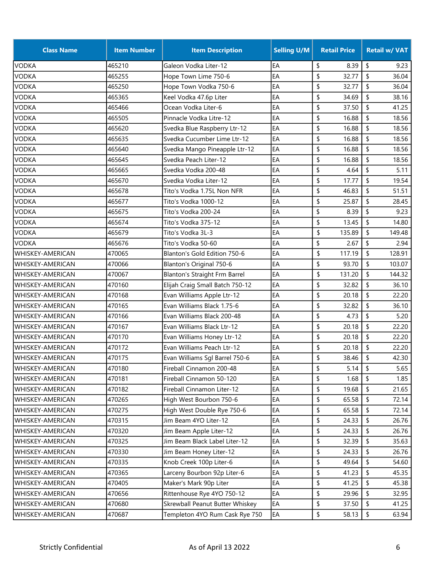| <b>Class Name</b>         | <b>Item Number</b> | <b>Item Description</b>              | <b>Selling U/M</b> | <b>Retail Price</b> | <b>Retail w/ VAT</b> |
|---------------------------|--------------------|--------------------------------------|--------------------|---------------------|----------------------|
| <b>VODKA</b>              | 465210             | Galeon Vodka Liter-12                | EA                 | \$<br>8.39          | \$<br>9.23           |
| <b>VODKA</b>              | 465255             | Hope Town Lime 750-6                 | EA                 | \$<br>32.77         | \$<br>36.04          |
| <b>VODKA</b>              | 465250             | Hope Town Vodka 750-6                | EA                 | \$<br>32.77         | \$<br>36.04          |
| <b>VODKA</b>              | 465365             | Keel Vodka 47.6p Liter               | EA                 | \$<br>34.69         | \$<br>38.16          |
| <b>VODKA</b>              | 465466             | Ocean Vodka Liter-6                  | EA                 | \$<br>37.50         | \$<br>41.25          |
| <b>VODKA</b>              | 465505             | Pinnacle Vodka Litre-12              | EA                 | \$<br>16.88         | \$<br>18.56          |
| <b>VODKA</b>              | 465620             | Svedka Blue Raspberry Ltr-12         | EA                 | \$<br>16.88         | \$<br>18.56          |
| <b>VODKA</b>              | 465635             | Svedka Cucumber Lime Ltr-12          | EA                 | \$<br>16.88         | \$<br>18.56          |
| <b>VODKA</b>              | 465640             | Svedka Mango Pineapple Ltr-12        | EA                 | \$<br>16.88         | \$<br>18.56          |
| <b>VODKA</b>              | 465645             | Svedka Peach Liter-12                | EA                 | \$<br>16.88         | \$<br>18.56          |
| <b>VODKA</b>              | 465665             | Svedka Vodka 200-48                  | EA                 | \$<br>4.64          | \$<br>5.11           |
| <b>VODKA</b>              | 465670             | Svedka Vodka Liter-12                | EA                 | \$<br>17.77         | \$<br>19.54          |
| <b>VODKA</b>              | 465678             | Tito's Vodka 1.75L Non NFR           | EA                 | \$<br>46.83         | \$<br>51.51          |
| <b>VODKA</b>              | 465677             | Tito's Vodka 1000-12                 | EA                 | \$<br>25.87         | \$<br>28.45          |
| <b>VODKA</b>              | 465675             | Tito's Vodka 200-24                  | EA                 | \$<br>8.39          | \$<br>9.23           |
| <b>VODKA</b>              | 465674             | Tito's Vodka 375-12                  | EA                 | \$<br>13.45         | \$<br>14.80          |
| <b>VODKA</b>              | 465679             | Tito's Vodka 3L-3                    | EA                 | \$<br>135.89        | \$<br>149.48         |
| <b>VODKA</b>              | 465676             | Tito's Vodka 50-60                   | EA                 | \$<br>2.67          | \$<br>2.94           |
| WHISKEY-AMERICAN          | 470065             | Blanton's Gold Edition 750-6         | EA                 | \$<br>117.19        | \$<br>128.91         |
| WHISKEY-AMERICAN          | 470066             | <b>Blanton's Original 750-6</b>      | EA                 | \$<br>93.70         | \$<br>103.07         |
| <b>I</b> WHISKEY-AMERICAN | 470067             | <b>Blanton's Straight Frm Barrel</b> | EA                 | \$<br>131.20        | \$<br>144.32         |
| <b>WHISKEY-AMERICAN</b>   | 470160             | Elijah Craig Small Batch 750-12      | EA                 | \$<br>32.82         | \$<br>36.10          |
| <b>WHISKEY-AMERICAN</b>   | 470168             | Evan Williams Apple Ltr-12           | EA                 | \$<br>20.18         | \$<br>22.20          |
| <b>WHISKEY-AMERICAN</b>   | 470165             | Evan Williams Black 1.75-6           | EA                 | \$<br>32.82         | \$<br>36.10          |
| <b>WHISKEY-AMERICAN</b>   | 470166             | Evan Williams Black 200-48           | EA                 | \$<br>4.73          | \$<br>5.20           |
| WHISKEY-AMERICAN          | 470167             | Evan Williams Black Ltr-12           | EA                 | \$<br>20.18         | \$<br>22.20          |
| WHISKEY-AMERICAN          | 470170             | Evan Williams Honey Ltr-12           | EA                 | \$<br>20.18         | \$<br>22.20          |
| <b>WHISKEY-AMERICAN</b>   | 470172             | Evan Williams Peach Ltr-12           | EA                 | \$<br>20.18         | \$<br>22.20          |
| <b>WHISKEY-AMERICAN</b>   | 470175             | Evan Williams Sgl Barrel 750-6       | EA                 | \$<br>38.46         | \$<br>42.30          |
| <b>WHISKEY-AMERICAN</b>   | 470180             | Fireball Cinnamon 200-48             | EA                 | \$<br>5.14          | $\sqrt{2}$<br>5.65   |
| <b>WHISKEY-AMERICAN</b>   | 470181             | Fireball Cinnamon 50-120             | EA                 | \$<br>1.68          | \$<br>1.85           |
| WHISKEY-AMERICAN          | 470182             | Fireball Cinnamon Liter-12           | EA                 | \$<br>19.68         | \$<br>21.65          |
| <b>WHISKEY-AMERICAN</b>   | 470265             | High West Bourbon 750-6              | EA                 | \$<br>65.58         | \$<br>72.14          |
| <b>WHISKEY-AMERICAN</b>   | 470275             | High West Double Rye 750-6           | EA                 | \$<br>65.58         | \$<br>72.14          |
| <b>WHISKEY-AMERICAN</b>   | 470315             | Jim Beam 4YO Liter-12                | EA                 | \$<br>24.33         | \$<br>26.76          |
| <b>WHISKEY-AMERICAN</b>   | 470320             | Jim Beam Apple Liter-12              | EA                 | \$<br>24.33         | \$<br>26.76          |
| <b>WHISKEY-AMERICAN</b>   | 470325             | Jim Beam Black Label Liter-12        | EA                 | \$<br>32.39         | \$<br>35.63          |
| WHISKEY-AMERICAN          | 470330             | Jim Beam Honey Liter-12              | EA                 | \$<br>24.33         | \$<br>26.76          |
| WHISKEY-AMERICAN          | 470335             | Knob Creek 100p Liter-6              | EA                 | \$<br>49.64         | \$<br>54.60          |
| WHISKEY-AMERICAN          | 470365             | Larceny Bourbon 92p Liter-6          | EA                 | \$<br>41.23         | \$<br>45.35          |
| WHISKEY-AMERICAN          | 470405             | Maker's Mark 90p Liter               | EA                 | \$<br>41.25         | \$<br>45.38          |
| <b>WHISKEY-AMERICAN</b>   | 470656             | Rittenhouse Rye 4YO 750-12           | EA                 | \$<br>29.96         | \$<br>32.95          |
| <b>WHISKEY-AMERICAN</b>   | 470680             | Skrewball Peanut Butter Whiskey      | EA                 | \$<br>37.50         | \$<br>41.25          |
| WHISKEY-AMERICAN          | 470687             | Templeton 4YO Rum Cask Rye 750       | EA                 | \$<br>58.13         | \$<br>63.94          |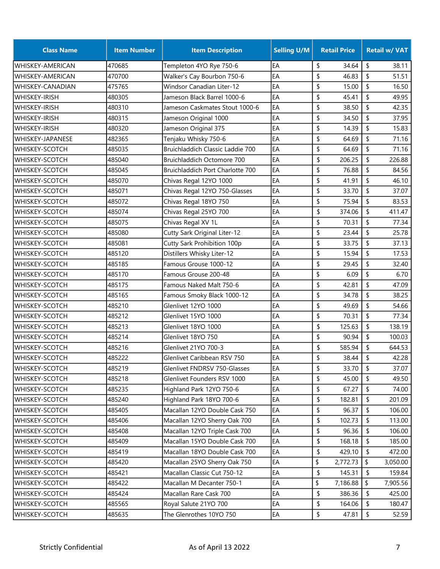| \$<br>\$<br>EA<br>34.64<br>470685<br>Templeton 4YO Rye 750-6<br>38.11<br>EA<br>\$<br>\$<br>470700<br>Walker's Cay Bourbon 750-6<br>46.83<br>51.51<br>EA<br>\$<br>\$<br>475765<br>Windsor Canadian Liter-12<br>15.00<br>16.50<br>\$<br>EA<br>\$<br>480305<br>Jameson Black Barrel 1000-6<br>45.41<br>49.95<br>\$<br>\$<br>EA<br>38.50<br>42.35<br>480310<br>Jameson Caskmates Stout 1000-6<br>\$<br>\$<br>EA<br>34.50<br>480315<br>Jameson Original 1000<br>37.95<br>\$<br>EA<br>\$<br>14.39<br>15.83<br>480320<br>Jameson Original 375<br>\$<br>EA<br>\$<br>Tenjaku Whisky 750-6<br>64.69<br>71.16<br>482365<br>Bruichladdich Classic Laddie 700<br>EA<br>\$<br>64.69<br>\$<br>71.16<br>485035<br>\$<br>EA<br>\$<br>206.25<br>226.88<br>485040<br>Bruichladdich Octomore 700<br>\$<br>EA<br>\$<br>76.88<br>485045<br>Bruichladdich Port Charlotte 700<br>84.56<br>\$<br>\$<br>EA<br>41.91<br>485070<br>Chivas Regal 12YO 1000<br>46.10<br>\$<br>EA<br>Chivas Regal 12YO 750-Glasses<br>33.70<br>\$<br>485071<br>37.07<br>\$<br>Chivas Regal 18YO 750<br>EA<br>75.94<br>\$<br>485072<br>83.53<br>\$<br>EA<br>\$<br>Chivas Regal 25YO 700<br>374.06<br>411.47<br>485074<br>EA<br>\$<br>70.31<br>\$<br>485075<br>Chivas Regal XV 1L<br>77.34<br>\$<br>\$<br>EA<br>Cutty Sark Original Liter-12<br>23.44<br>25.78<br>485080<br>\$<br>\$<br>Cutty Sark Prohibition 100p<br>EA<br>33.75<br>485081<br>37.13<br>EA<br>\$<br>\$<br>17.53<br>Distillers Whisky Liter-12<br>15.94<br>485120<br>\$<br>EA<br>\$<br>Famous Grouse 1000-12<br>29.45<br>485185<br>32.40<br>\$<br>\$<br>Famous Grouse 200-48<br>EA<br>6.09<br>6.70<br>485170<br>\$<br>EA<br>\$<br>42.81<br>47.09<br>485175<br>Famous Naked Malt 750-6<br>\$<br>\$<br>EA<br>34.78<br>38.25<br>485165<br>Famous Smoky Black 1000-12<br>\$<br>\$<br>Glenlivet 12YO 1000<br>EA<br>49.69<br>54.66<br>485210<br>\$<br>\$<br>EA<br>70.31<br>77.34<br>485212<br>Glenlivet 15YO 1000<br>\$<br>125.63<br>\$<br>485213<br>Glenlivet 18YO 1000<br>EA<br>138.19<br>\$<br>EA<br>\$<br>90.94<br>100.03<br>485214<br>Glenlivet 18YO 750<br>Glenlivet 21YO 700-3<br>EA<br>\$<br>585.94<br>\$<br>644.53<br>485216<br>\$<br>\$<br>EA<br>42.28<br>485222<br>38.44<br>Glenlivet Caribbean RSV 750<br>\$<br>$\sqrt{2}$<br>485219<br>Glenlivet FNDRSV 750-Glasses<br>EA<br>33.70<br>37.07<br>\$<br>45.00<br>\$<br>Glenlivet Founders RSV 1000<br>EA<br>485218<br>49.50<br>\$<br>485235<br>Highland Park 12YO 750-6<br>EA<br>67.27<br>\$<br>74.00<br>Highland Park 18YO 700-6<br>EA<br>\$<br>\$<br>201.09<br>485240<br>182.81<br>\$<br>Macallan 12YO Double Cask 750<br>EA<br>96.37<br>\$<br>485405<br>106.00<br>\$<br>EA<br>102.73<br>\$<br>485406<br>Macallan 12YO Sherry Oak 700<br>113.00<br>\$<br>EA<br>96.36<br>\$<br>485408<br>Macallan 12YO Triple Cask 700<br>106.00<br>\$<br>Macallan 15YO Double Cask 700<br>EA<br>WHISKEY-SCOTCH<br>485409<br>168.18<br>\$<br>185.00<br>EA<br>\$<br>Macallan 18YO Double Cask 700<br>429.10<br>\$<br>485419<br>472.00<br>\$<br>EA<br>\$<br>WHISKEY-SCOTCH<br>485420<br>Macallan 25YO Sherry Oak 750<br>2,772.73<br>3,050.00<br>WHISKEY-SCOTCH<br>Macallan Classic Cut 750-12<br>EA<br>\$<br>145.31<br>\$<br>159.84<br>485421<br>EA<br>\$<br>\$<br>WHISKEY-SCOTCH<br>485422<br>Macallan M Decanter 750-1<br>7,186.88<br>7,905.56<br>\$<br>EA<br>386.36<br>\$<br>WHISKEY-SCOTCH<br>485424<br>Macallan Rare Cask 700<br>425.00<br>\$<br>Royal Salute 21YO 700<br>EA<br>164.06<br>\$<br>485565<br>180.47<br>52.59 | <b>Class Name</b>       | <b>Item Number</b> | <b>Item Description</b> | <b>Selling U/M</b> | <b>Retail Price</b> | <b>Retail w/ VAT</b> |
|----------------------------------------------------------------------------------------------------------------------------------------------------------------------------------------------------------------------------------------------------------------------------------------------------------------------------------------------------------------------------------------------------------------------------------------------------------------------------------------------------------------------------------------------------------------------------------------------------------------------------------------------------------------------------------------------------------------------------------------------------------------------------------------------------------------------------------------------------------------------------------------------------------------------------------------------------------------------------------------------------------------------------------------------------------------------------------------------------------------------------------------------------------------------------------------------------------------------------------------------------------------------------------------------------------------------------------------------------------------------------------------------------------------------------------------------------------------------------------------------------------------------------------------------------------------------------------------------------------------------------------------------------------------------------------------------------------------------------------------------------------------------------------------------------------------------------------------------------------------------------------------------------------------------------------------------------------------------------------------------------------------------------------------------------------------------------------------------------------------------------------------------------------------------------------------------------------------------------------------------------------------------------------------------------------------------------------------------------------------------------------------------------------------------------------------------------------------------------------------------------------------------------------------------------------------------------------------------------------------------------------------------------------------------------------------------------------------------------------------------------------------------------------------------------------------------------------------------------------------------------------------------------------------------------------------------------------------------------------------------------------------------------------------------------------------------------------------------------------------------------------------------------------------------------------------------------------------------------------------------------------------------------------------------------------------------------------------------------------------------------------------------------------------------------------------------------------------------------------|-------------------------|--------------------|-------------------------|--------------------|---------------------|----------------------|
|                                                                                                                                                                                                                                                                                                                                                                                                                                                                                                                                                                                                                                                                                                                                                                                                                                                                                                                                                                                                                                                                                                                                                                                                                                                                                                                                                                                                                                                                                                                                                                                                                                                                                                                                                                                                                                                                                                                                                                                                                                                                                                                                                                                                                                                                                                                                                                                                                                                                                                                                                                                                                                                                                                                                                                                                                                                                                                                                                                                                                                                                                                                                                                                                                                                                                                                                                                                                                                                                                  | <b>WHISKEY-AMERICAN</b> |                    |                         |                    |                     |                      |
|                                                                                                                                                                                                                                                                                                                                                                                                                                                                                                                                                                                                                                                                                                                                                                                                                                                                                                                                                                                                                                                                                                                                                                                                                                                                                                                                                                                                                                                                                                                                                                                                                                                                                                                                                                                                                                                                                                                                                                                                                                                                                                                                                                                                                                                                                                                                                                                                                                                                                                                                                                                                                                                                                                                                                                                                                                                                                                                                                                                                                                                                                                                                                                                                                                                                                                                                                                                                                                                                                  | <b>WHISKEY-AMERICAN</b> |                    |                         |                    |                     |                      |
|                                                                                                                                                                                                                                                                                                                                                                                                                                                                                                                                                                                                                                                                                                                                                                                                                                                                                                                                                                                                                                                                                                                                                                                                                                                                                                                                                                                                                                                                                                                                                                                                                                                                                                                                                                                                                                                                                                                                                                                                                                                                                                                                                                                                                                                                                                                                                                                                                                                                                                                                                                                                                                                                                                                                                                                                                                                                                                                                                                                                                                                                                                                                                                                                                                                                                                                                                                                                                                                                                  | <b>WHISKEY-CANADIAN</b> |                    |                         |                    |                     |                      |
|                                                                                                                                                                                                                                                                                                                                                                                                                                                                                                                                                                                                                                                                                                                                                                                                                                                                                                                                                                                                                                                                                                                                                                                                                                                                                                                                                                                                                                                                                                                                                                                                                                                                                                                                                                                                                                                                                                                                                                                                                                                                                                                                                                                                                                                                                                                                                                                                                                                                                                                                                                                                                                                                                                                                                                                                                                                                                                                                                                                                                                                                                                                                                                                                                                                                                                                                                                                                                                                                                  | <b>WHISKEY-IRISH</b>    |                    |                         |                    |                     |                      |
|                                                                                                                                                                                                                                                                                                                                                                                                                                                                                                                                                                                                                                                                                                                                                                                                                                                                                                                                                                                                                                                                                                                                                                                                                                                                                                                                                                                                                                                                                                                                                                                                                                                                                                                                                                                                                                                                                                                                                                                                                                                                                                                                                                                                                                                                                                                                                                                                                                                                                                                                                                                                                                                                                                                                                                                                                                                                                                                                                                                                                                                                                                                                                                                                                                                                                                                                                                                                                                                                                  | <b>WHISKEY-IRISH</b>    |                    |                         |                    |                     |                      |
|                                                                                                                                                                                                                                                                                                                                                                                                                                                                                                                                                                                                                                                                                                                                                                                                                                                                                                                                                                                                                                                                                                                                                                                                                                                                                                                                                                                                                                                                                                                                                                                                                                                                                                                                                                                                                                                                                                                                                                                                                                                                                                                                                                                                                                                                                                                                                                                                                                                                                                                                                                                                                                                                                                                                                                                                                                                                                                                                                                                                                                                                                                                                                                                                                                                                                                                                                                                                                                                                                  | <b>WHISKEY-IRISH</b>    |                    |                         |                    |                     |                      |
|                                                                                                                                                                                                                                                                                                                                                                                                                                                                                                                                                                                                                                                                                                                                                                                                                                                                                                                                                                                                                                                                                                                                                                                                                                                                                                                                                                                                                                                                                                                                                                                                                                                                                                                                                                                                                                                                                                                                                                                                                                                                                                                                                                                                                                                                                                                                                                                                                                                                                                                                                                                                                                                                                                                                                                                                                                                                                                                                                                                                                                                                                                                                                                                                                                                                                                                                                                                                                                                                                  | WHISKEY-IRISH           |                    |                         |                    |                     |                      |
|                                                                                                                                                                                                                                                                                                                                                                                                                                                                                                                                                                                                                                                                                                                                                                                                                                                                                                                                                                                                                                                                                                                                                                                                                                                                                                                                                                                                                                                                                                                                                                                                                                                                                                                                                                                                                                                                                                                                                                                                                                                                                                                                                                                                                                                                                                                                                                                                                                                                                                                                                                                                                                                                                                                                                                                                                                                                                                                                                                                                                                                                                                                                                                                                                                                                                                                                                                                                                                                                                  | <b>WHISKEY-JAPANESE</b> |                    |                         |                    |                     |                      |
|                                                                                                                                                                                                                                                                                                                                                                                                                                                                                                                                                                                                                                                                                                                                                                                                                                                                                                                                                                                                                                                                                                                                                                                                                                                                                                                                                                                                                                                                                                                                                                                                                                                                                                                                                                                                                                                                                                                                                                                                                                                                                                                                                                                                                                                                                                                                                                                                                                                                                                                                                                                                                                                                                                                                                                                                                                                                                                                                                                                                                                                                                                                                                                                                                                                                                                                                                                                                                                                                                  | WHISKEY-SCOTCH          |                    |                         |                    |                     |                      |
|                                                                                                                                                                                                                                                                                                                                                                                                                                                                                                                                                                                                                                                                                                                                                                                                                                                                                                                                                                                                                                                                                                                                                                                                                                                                                                                                                                                                                                                                                                                                                                                                                                                                                                                                                                                                                                                                                                                                                                                                                                                                                                                                                                                                                                                                                                                                                                                                                                                                                                                                                                                                                                                                                                                                                                                                                                                                                                                                                                                                                                                                                                                                                                                                                                                                                                                                                                                                                                                                                  | WHISKEY-SCOTCH          |                    |                         |                    |                     |                      |
|                                                                                                                                                                                                                                                                                                                                                                                                                                                                                                                                                                                                                                                                                                                                                                                                                                                                                                                                                                                                                                                                                                                                                                                                                                                                                                                                                                                                                                                                                                                                                                                                                                                                                                                                                                                                                                                                                                                                                                                                                                                                                                                                                                                                                                                                                                                                                                                                                                                                                                                                                                                                                                                                                                                                                                                                                                                                                                                                                                                                                                                                                                                                                                                                                                                                                                                                                                                                                                                                                  | WHISKEY-SCOTCH          |                    |                         |                    |                     |                      |
|                                                                                                                                                                                                                                                                                                                                                                                                                                                                                                                                                                                                                                                                                                                                                                                                                                                                                                                                                                                                                                                                                                                                                                                                                                                                                                                                                                                                                                                                                                                                                                                                                                                                                                                                                                                                                                                                                                                                                                                                                                                                                                                                                                                                                                                                                                                                                                                                                                                                                                                                                                                                                                                                                                                                                                                                                                                                                                                                                                                                                                                                                                                                                                                                                                                                                                                                                                                                                                                                                  | WHISKEY-SCOTCH          |                    |                         |                    |                     |                      |
|                                                                                                                                                                                                                                                                                                                                                                                                                                                                                                                                                                                                                                                                                                                                                                                                                                                                                                                                                                                                                                                                                                                                                                                                                                                                                                                                                                                                                                                                                                                                                                                                                                                                                                                                                                                                                                                                                                                                                                                                                                                                                                                                                                                                                                                                                                                                                                                                                                                                                                                                                                                                                                                                                                                                                                                                                                                                                                                                                                                                                                                                                                                                                                                                                                                                                                                                                                                                                                                                                  | <b>WHISKEY-SCOTCH</b>   |                    |                         |                    |                     |                      |
|                                                                                                                                                                                                                                                                                                                                                                                                                                                                                                                                                                                                                                                                                                                                                                                                                                                                                                                                                                                                                                                                                                                                                                                                                                                                                                                                                                                                                                                                                                                                                                                                                                                                                                                                                                                                                                                                                                                                                                                                                                                                                                                                                                                                                                                                                                                                                                                                                                                                                                                                                                                                                                                                                                                                                                                                                                                                                                                                                                                                                                                                                                                                                                                                                                                                                                                                                                                                                                                                                  | WHISKEY-SCOTCH          |                    |                         |                    |                     |                      |
|                                                                                                                                                                                                                                                                                                                                                                                                                                                                                                                                                                                                                                                                                                                                                                                                                                                                                                                                                                                                                                                                                                                                                                                                                                                                                                                                                                                                                                                                                                                                                                                                                                                                                                                                                                                                                                                                                                                                                                                                                                                                                                                                                                                                                                                                                                                                                                                                                                                                                                                                                                                                                                                                                                                                                                                                                                                                                                                                                                                                                                                                                                                                                                                                                                                                                                                                                                                                                                                                                  | WHISKEY-SCOTCH          |                    |                         |                    |                     |                      |
|                                                                                                                                                                                                                                                                                                                                                                                                                                                                                                                                                                                                                                                                                                                                                                                                                                                                                                                                                                                                                                                                                                                                                                                                                                                                                                                                                                                                                                                                                                                                                                                                                                                                                                                                                                                                                                                                                                                                                                                                                                                                                                                                                                                                                                                                                                                                                                                                                                                                                                                                                                                                                                                                                                                                                                                                                                                                                                                                                                                                                                                                                                                                                                                                                                                                                                                                                                                                                                                                                  | WHISKEY-SCOTCH          |                    |                         |                    |                     |                      |
|                                                                                                                                                                                                                                                                                                                                                                                                                                                                                                                                                                                                                                                                                                                                                                                                                                                                                                                                                                                                                                                                                                                                                                                                                                                                                                                                                                                                                                                                                                                                                                                                                                                                                                                                                                                                                                                                                                                                                                                                                                                                                                                                                                                                                                                                                                                                                                                                                                                                                                                                                                                                                                                                                                                                                                                                                                                                                                                                                                                                                                                                                                                                                                                                                                                                                                                                                                                                                                                                                  | WHISKEY-SCOTCH          |                    |                         |                    |                     |                      |
|                                                                                                                                                                                                                                                                                                                                                                                                                                                                                                                                                                                                                                                                                                                                                                                                                                                                                                                                                                                                                                                                                                                                                                                                                                                                                                                                                                                                                                                                                                                                                                                                                                                                                                                                                                                                                                                                                                                                                                                                                                                                                                                                                                                                                                                                                                                                                                                                                                                                                                                                                                                                                                                                                                                                                                                                                                                                                                                                                                                                                                                                                                                                                                                                                                                                                                                                                                                                                                                                                  | WHISKEY-SCOTCH          |                    |                         |                    |                     |                      |
|                                                                                                                                                                                                                                                                                                                                                                                                                                                                                                                                                                                                                                                                                                                                                                                                                                                                                                                                                                                                                                                                                                                                                                                                                                                                                                                                                                                                                                                                                                                                                                                                                                                                                                                                                                                                                                                                                                                                                                                                                                                                                                                                                                                                                                                                                                                                                                                                                                                                                                                                                                                                                                                                                                                                                                                                                                                                                                                                                                                                                                                                                                                                                                                                                                                                                                                                                                                                                                                                                  | WHISKEY-SCOTCH          |                    |                         |                    |                     |                      |
|                                                                                                                                                                                                                                                                                                                                                                                                                                                                                                                                                                                                                                                                                                                                                                                                                                                                                                                                                                                                                                                                                                                                                                                                                                                                                                                                                                                                                                                                                                                                                                                                                                                                                                                                                                                                                                                                                                                                                                                                                                                                                                                                                                                                                                                                                                                                                                                                                                                                                                                                                                                                                                                                                                                                                                                                                                                                                                                                                                                                                                                                                                                                                                                                                                                                                                                                                                                                                                                                                  | WHISKEY-SCOTCH          |                    |                         |                    |                     |                      |
|                                                                                                                                                                                                                                                                                                                                                                                                                                                                                                                                                                                                                                                                                                                                                                                                                                                                                                                                                                                                                                                                                                                                                                                                                                                                                                                                                                                                                                                                                                                                                                                                                                                                                                                                                                                                                                                                                                                                                                                                                                                                                                                                                                                                                                                                                                                                                                                                                                                                                                                                                                                                                                                                                                                                                                                                                                                                                                                                                                                                                                                                                                                                                                                                                                                                                                                                                                                                                                                                                  | WHISKEY-SCOTCH          |                    |                         |                    |                     |                      |
|                                                                                                                                                                                                                                                                                                                                                                                                                                                                                                                                                                                                                                                                                                                                                                                                                                                                                                                                                                                                                                                                                                                                                                                                                                                                                                                                                                                                                                                                                                                                                                                                                                                                                                                                                                                                                                                                                                                                                                                                                                                                                                                                                                                                                                                                                                                                                                                                                                                                                                                                                                                                                                                                                                                                                                                                                                                                                                                                                                                                                                                                                                                                                                                                                                                                                                                                                                                                                                                                                  | <b>WHISKEY-SCOTCH</b>   |                    |                         |                    |                     |                      |
|                                                                                                                                                                                                                                                                                                                                                                                                                                                                                                                                                                                                                                                                                                                                                                                                                                                                                                                                                                                                                                                                                                                                                                                                                                                                                                                                                                                                                                                                                                                                                                                                                                                                                                                                                                                                                                                                                                                                                                                                                                                                                                                                                                                                                                                                                                                                                                                                                                                                                                                                                                                                                                                                                                                                                                                                                                                                                                                                                                                                                                                                                                                                                                                                                                                                                                                                                                                                                                                                                  | <b>WHISKEY-SCOTCH</b>   |                    |                         |                    |                     |                      |
|                                                                                                                                                                                                                                                                                                                                                                                                                                                                                                                                                                                                                                                                                                                                                                                                                                                                                                                                                                                                                                                                                                                                                                                                                                                                                                                                                                                                                                                                                                                                                                                                                                                                                                                                                                                                                                                                                                                                                                                                                                                                                                                                                                                                                                                                                                                                                                                                                                                                                                                                                                                                                                                                                                                                                                                                                                                                                                                                                                                                                                                                                                                                                                                                                                                                                                                                                                                                                                                                                  | WHISKEY-SCOTCH          |                    |                         |                    |                     |                      |
|                                                                                                                                                                                                                                                                                                                                                                                                                                                                                                                                                                                                                                                                                                                                                                                                                                                                                                                                                                                                                                                                                                                                                                                                                                                                                                                                                                                                                                                                                                                                                                                                                                                                                                                                                                                                                                                                                                                                                                                                                                                                                                                                                                                                                                                                                                                                                                                                                                                                                                                                                                                                                                                                                                                                                                                                                                                                                                                                                                                                                                                                                                                                                                                                                                                                                                                                                                                                                                                                                  | <b>WHISKEY-SCOTCH</b>   |                    |                         |                    |                     |                      |
|                                                                                                                                                                                                                                                                                                                                                                                                                                                                                                                                                                                                                                                                                                                                                                                                                                                                                                                                                                                                                                                                                                                                                                                                                                                                                                                                                                                                                                                                                                                                                                                                                                                                                                                                                                                                                                                                                                                                                                                                                                                                                                                                                                                                                                                                                                                                                                                                                                                                                                                                                                                                                                                                                                                                                                                                                                                                                                                                                                                                                                                                                                                                                                                                                                                                                                                                                                                                                                                                                  | WHISKEY-SCOTCH          |                    |                         |                    |                     |                      |
|                                                                                                                                                                                                                                                                                                                                                                                                                                                                                                                                                                                                                                                                                                                                                                                                                                                                                                                                                                                                                                                                                                                                                                                                                                                                                                                                                                                                                                                                                                                                                                                                                                                                                                                                                                                                                                                                                                                                                                                                                                                                                                                                                                                                                                                                                                                                                                                                                                                                                                                                                                                                                                                                                                                                                                                                                                                                                                                                                                                                                                                                                                                                                                                                                                                                                                                                                                                                                                                                                  | WHISKEY-SCOTCH          |                    |                         |                    |                     |                      |
|                                                                                                                                                                                                                                                                                                                                                                                                                                                                                                                                                                                                                                                                                                                                                                                                                                                                                                                                                                                                                                                                                                                                                                                                                                                                                                                                                                                                                                                                                                                                                                                                                                                                                                                                                                                                                                                                                                                                                                                                                                                                                                                                                                                                                                                                                                                                                                                                                                                                                                                                                                                                                                                                                                                                                                                                                                                                                                                                                                                                                                                                                                                                                                                                                                                                                                                                                                                                                                                                                  | WHISKEY-SCOTCH          |                    |                         |                    |                     |                      |
|                                                                                                                                                                                                                                                                                                                                                                                                                                                                                                                                                                                                                                                                                                                                                                                                                                                                                                                                                                                                                                                                                                                                                                                                                                                                                                                                                                                                                                                                                                                                                                                                                                                                                                                                                                                                                                                                                                                                                                                                                                                                                                                                                                                                                                                                                                                                                                                                                                                                                                                                                                                                                                                                                                                                                                                                                                                                                                                                                                                                                                                                                                                                                                                                                                                                                                                                                                                                                                                                                  | WHISKEY-SCOTCH          |                    |                         |                    |                     |                      |
|                                                                                                                                                                                                                                                                                                                                                                                                                                                                                                                                                                                                                                                                                                                                                                                                                                                                                                                                                                                                                                                                                                                                                                                                                                                                                                                                                                                                                                                                                                                                                                                                                                                                                                                                                                                                                                                                                                                                                                                                                                                                                                                                                                                                                                                                                                                                                                                                                                                                                                                                                                                                                                                                                                                                                                                                                                                                                                                                                                                                                                                                                                                                                                                                                                                                                                                                                                                                                                                                                  | WHISKEY-SCOTCH          |                    |                         |                    |                     |                      |
|                                                                                                                                                                                                                                                                                                                                                                                                                                                                                                                                                                                                                                                                                                                                                                                                                                                                                                                                                                                                                                                                                                                                                                                                                                                                                                                                                                                                                                                                                                                                                                                                                                                                                                                                                                                                                                                                                                                                                                                                                                                                                                                                                                                                                                                                                                                                                                                                                                                                                                                                                                                                                                                                                                                                                                                                                                                                                                                                                                                                                                                                                                                                                                                                                                                                                                                                                                                                                                                                                  | WHISKEY-SCOTCH          |                    |                         |                    |                     |                      |
|                                                                                                                                                                                                                                                                                                                                                                                                                                                                                                                                                                                                                                                                                                                                                                                                                                                                                                                                                                                                                                                                                                                                                                                                                                                                                                                                                                                                                                                                                                                                                                                                                                                                                                                                                                                                                                                                                                                                                                                                                                                                                                                                                                                                                                                                                                                                                                                                                                                                                                                                                                                                                                                                                                                                                                                                                                                                                                                                                                                                                                                                                                                                                                                                                                                                                                                                                                                                                                                                                  | WHISKEY-SCOTCH          |                    |                         |                    |                     |                      |
|                                                                                                                                                                                                                                                                                                                                                                                                                                                                                                                                                                                                                                                                                                                                                                                                                                                                                                                                                                                                                                                                                                                                                                                                                                                                                                                                                                                                                                                                                                                                                                                                                                                                                                                                                                                                                                                                                                                                                                                                                                                                                                                                                                                                                                                                                                                                                                                                                                                                                                                                                                                                                                                                                                                                                                                                                                                                                                                                                                                                                                                                                                                                                                                                                                                                                                                                                                                                                                                                                  | WHISKEY-SCOTCH          |                    |                         |                    |                     |                      |
|                                                                                                                                                                                                                                                                                                                                                                                                                                                                                                                                                                                                                                                                                                                                                                                                                                                                                                                                                                                                                                                                                                                                                                                                                                                                                                                                                                                                                                                                                                                                                                                                                                                                                                                                                                                                                                                                                                                                                                                                                                                                                                                                                                                                                                                                                                                                                                                                                                                                                                                                                                                                                                                                                                                                                                                                                                                                                                                                                                                                                                                                                                                                                                                                                                                                                                                                                                                                                                                                                  | WHISKEY-SCOTCH          |                    |                         |                    |                     |                      |
|                                                                                                                                                                                                                                                                                                                                                                                                                                                                                                                                                                                                                                                                                                                                                                                                                                                                                                                                                                                                                                                                                                                                                                                                                                                                                                                                                                                                                                                                                                                                                                                                                                                                                                                                                                                                                                                                                                                                                                                                                                                                                                                                                                                                                                                                                                                                                                                                                                                                                                                                                                                                                                                                                                                                                                                                                                                                                                                                                                                                                                                                                                                                                                                                                                                                                                                                                                                                                                                                                  | WHISKEY-SCOTCH          |                    |                         |                    |                     |                      |
|                                                                                                                                                                                                                                                                                                                                                                                                                                                                                                                                                                                                                                                                                                                                                                                                                                                                                                                                                                                                                                                                                                                                                                                                                                                                                                                                                                                                                                                                                                                                                                                                                                                                                                                                                                                                                                                                                                                                                                                                                                                                                                                                                                                                                                                                                                                                                                                                                                                                                                                                                                                                                                                                                                                                                                                                                                                                                                                                                                                                                                                                                                                                                                                                                                                                                                                                                                                                                                                                                  | WHISKEY-SCOTCH          |                    |                         |                    |                     |                      |
|                                                                                                                                                                                                                                                                                                                                                                                                                                                                                                                                                                                                                                                                                                                                                                                                                                                                                                                                                                                                                                                                                                                                                                                                                                                                                                                                                                                                                                                                                                                                                                                                                                                                                                                                                                                                                                                                                                                                                                                                                                                                                                                                                                                                                                                                                                                                                                                                                                                                                                                                                                                                                                                                                                                                                                                                                                                                                                                                                                                                                                                                                                                                                                                                                                                                                                                                                                                                                                                                                  |                         |                    |                         |                    |                     |                      |
|                                                                                                                                                                                                                                                                                                                                                                                                                                                                                                                                                                                                                                                                                                                                                                                                                                                                                                                                                                                                                                                                                                                                                                                                                                                                                                                                                                                                                                                                                                                                                                                                                                                                                                                                                                                                                                                                                                                                                                                                                                                                                                                                                                                                                                                                                                                                                                                                                                                                                                                                                                                                                                                                                                                                                                                                                                                                                                                                                                                                                                                                                                                                                                                                                                                                                                                                                                                                                                                                                  | WHISKEY-SCOTCH          |                    |                         |                    |                     |                      |
|                                                                                                                                                                                                                                                                                                                                                                                                                                                                                                                                                                                                                                                                                                                                                                                                                                                                                                                                                                                                                                                                                                                                                                                                                                                                                                                                                                                                                                                                                                                                                                                                                                                                                                                                                                                                                                                                                                                                                                                                                                                                                                                                                                                                                                                                                                                                                                                                                                                                                                                                                                                                                                                                                                                                                                                                                                                                                                                                                                                                                                                                                                                                                                                                                                                                                                                                                                                                                                                                                  |                         |                    |                         |                    |                     |                      |
|                                                                                                                                                                                                                                                                                                                                                                                                                                                                                                                                                                                                                                                                                                                                                                                                                                                                                                                                                                                                                                                                                                                                                                                                                                                                                                                                                                                                                                                                                                                                                                                                                                                                                                                                                                                                                                                                                                                                                                                                                                                                                                                                                                                                                                                                                                                                                                                                                                                                                                                                                                                                                                                                                                                                                                                                                                                                                                                                                                                                                                                                                                                                                                                                                                                                                                                                                                                                                                                                                  |                         |                    |                         |                    |                     |                      |
|                                                                                                                                                                                                                                                                                                                                                                                                                                                                                                                                                                                                                                                                                                                                                                                                                                                                                                                                                                                                                                                                                                                                                                                                                                                                                                                                                                                                                                                                                                                                                                                                                                                                                                                                                                                                                                                                                                                                                                                                                                                                                                                                                                                                                                                                                                                                                                                                                                                                                                                                                                                                                                                                                                                                                                                                                                                                                                                                                                                                                                                                                                                                                                                                                                                                                                                                                                                                                                                                                  |                         |                    |                         |                    |                     |                      |
|                                                                                                                                                                                                                                                                                                                                                                                                                                                                                                                                                                                                                                                                                                                                                                                                                                                                                                                                                                                                                                                                                                                                                                                                                                                                                                                                                                                                                                                                                                                                                                                                                                                                                                                                                                                                                                                                                                                                                                                                                                                                                                                                                                                                                                                                                                                                                                                                                                                                                                                                                                                                                                                                                                                                                                                                                                                                                                                                                                                                                                                                                                                                                                                                                                                                                                                                                                                                                                                                                  |                         |                    |                         |                    |                     |                      |
|                                                                                                                                                                                                                                                                                                                                                                                                                                                                                                                                                                                                                                                                                                                                                                                                                                                                                                                                                                                                                                                                                                                                                                                                                                                                                                                                                                                                                                                                                                                                                                                                                                                                                                                                                                                                                                                                                                                                                                                                                                                                                                                                                                                                                                                                                                                                                                                                                                                                                                                                                                                                                                                                                                                                                                                                                                                                                                                                                                                                                                                                                                                                                                                                                                                                                                                                                                                                                                                                                  | WHISKEY-SCOTCH          |                    |                         |                    |                     |                      |
|                                                                                                                                                                                                                                                                                                                                                                                                                                                                                                                                                                                                                                                                                                                                                                                                                                                                                                                                                                                                                                                                                                                                                                                                                                                                                                                                                                                                                                                                                                                                                                                                                                                                                                                                                                                                                                                                                                                                                                                                                                                                                                                                                                                                                                                                                                                                                                                                                                                                                                                                                                                                                                                                                                                                                                                                                                                                                                                                                                                                                                                                                                                                                                                                                                                                                                                                                                                                                                                                                  | WHISKEY-SCOTCH          | 485635             | The Glenrothes 10YO 750 | EA                 | \$<br>47.81         | \$                   |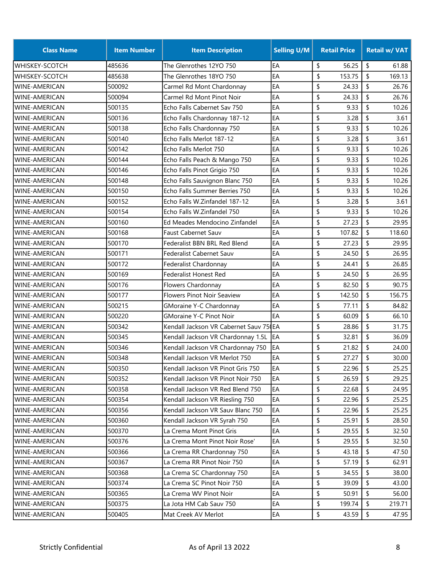| <b>Class Name</b>      | <b>Item Number</b> | <b>Item Description</b>                | <b>Selling U/M</b> | <b>Retail Price</b> |               | <b>Retail w/ VAT</b> |
|------------------------|--------------------|----------------------------------------|--------------------|---------------------|---------------|----------------------|
| <b>WHISKEY-SCOTCH</b>  | 485636             | The Glenrothes 12YO 750                | EA                 | \$<br>56.25         | \$            | 61.88                |
| <b>WHISKEY-SCOTCH</b>  | 485638             | The Glenrothes 18YO 750                | EA                 | \$<br>153.75        | \$            | 169.13               |
| <b>WINE-AMERICAN</b>   | 500092             | Carmel Rd Mont Chardonnay              | EA                 | \$<br>24.33         | \$            | 26.76                |
| <b>WINE-AMERICAN</b>   | 500094             | Carmel Rd Mont Pinot Noir              | EA                 | \$<br>24.33         | \$            | 26.76                |
| <b>WINE-AMERICAN</b>   | 500135             | Echo Falls Cabernet Sav 750            | EA                 | \$<br>9.33          | \$            | 10.26                |
| <b>WINE-AMERICAN</b>   | 500136             | Echo Falls Chardonnay 187-12           | EA                 | \$<br>3.28          | \$            | 3.61                 |
| <b>WINE-AMERICAN</b>   | 500138             | Echo Falls Chardonnay 750              | EA                 | 9.33<br>\$          | \$            | 10.26                |
| <b>WINE-AMERICAN</b>   | 500140             | Echo Falls Merlot 187-12               | EA                 | \$<br>3.28          | \$            | 3.61                 |
| <b>WINE-AMERICAN</b>   | 500142             | Echo Falls Merlot 750                  | EA                 | \$<br>9.33          | \$            | 10.26                |
| <b>WINE-AMERICAN</b>   | 500144             | Echo Falls Peach & Mango 750           | EA                 | \$<br>9.33          | \$            | 10.26                |
| <b>WINE-AMERICAN</b>   | 500146             | Echo Falls Pinot Grigio 750            | EA                 | \$<br>9.33          | \$            | 10.26                |
| <b>WINE-AMERICAN</b>   | 500148             | Echo Falls Sauvignon Blanc 750         | EA                 | \$<br>9.33          | \$            | 10.26                |
| <b>WINE-AMERICAN</b>   | 500150             | Echo Falls Summer Berries 750          | EA                 | \$<br>9.33          | \$            | 10.26                |
| <b>WINE-AMERICAN</b>   | 500152             | Echo Falls W.Zinfandel 187-12          | EA                 | \$<br>3.28          | \$            | 3.61                 |
| <b>WINE-AMERICAN</b>   | 500154             | Echo Falls W.Zinfandel 750             | EA                 | \$<br>9.33          | \$            | 10.26                |
| <b>WINE-AMERICAN</b>   | 500160             | Ed Meades Mendocino Zinfandel          | EA                 | \$<br>27.23         | \$            | 29.95                |
| WINE-AMERICAN          | 500168             | <b>Faust Cabernet Sauv</b>             | EA                 | \$<br>107.82        | \$            | 118.60               |
| <b>WINE-AMERICAN</b>   | 500170             | Federalist BBN BRL Red Blend           | EA                 | \$<br>27.23         | \$            | 29.95                |
| <b>WINE-AMERICAN</b>   | 500171             | <b>Federalist Cabernet Sauv</b>        | EA                 | \$<br>24.50         | \$            | 26.95                |
| WINE-AMERICAN          | 500172             | Federalist Chardonnay                  | EA                 | \$<br>24.41         | \$            | 26.85                |
| <b>WINE-AMERICAN</b>   | 500169             | <b>Federalist Honest Red</b>           | EA                 | \$<br>24.50         | \$            | 26.95                |
| WINE-AMERICAN          | 500176             | Flowers Chardonnay                     | EA                 | \$<br>82.50         | \$            | 90.75                |
| <b>WINE-AMERICAN</b>   | 500177             | <b>Flowers Pinot Noir Seaview</b>      | EA                 | \$<br>142.50        | \$            | 156.75               |
| <b>WINE-AMERICAN</b>   | 500215             | GMoraine Y-C Chardonnay                | EA                 | \$<br>77.11         | \$            | 84.82                |
| <b>WINE-AMERICAN</b>   | 500220             | <b>GMoraine Y-C Pinot Noir</b>         | EA                 | \$<br>60.09         | \$            | 66.10                |
| <b>WINE-AMERICAN</b>   | 500342             | Kendall Jackson VR Cabernet Sauv 75 EA |                    | 28.86<br>\$         | \$            | 31.75                |
| <b>WINE-AMERICAN</b>   | 500345             | Kendall Jackson VR Chardonnay 1.5L     | <b>IEA</b>         | \$<br>32.81         | \$            | 36.09                |
| <b>WINE-AMERICAN</b>   | 500346             | Kendall Jackson VR Chardonnay 750      | EA                 | \$<br>21.82         | \$            | 24.00                |
| <b>I</b> WINE-AMERICAN | 500348             | Kendall Jackson VR Merlot 750          | EA                 | \$<br>27.27         | \$            | 30.00                |
| WINE-AMERICAN          | 500350             | Kendall Jackson VR Pinot Gris 750      | EA                 | \$<br>22.96         | \$            | 25.25                |
| WINE-AMERICAN          | 500352             | Kendall Jackson VR Pinot Noir 750      | EA                 | 26.59<br>\$         | \$            | 29.25                |
| WINE-AMERICAN          | 500358             | Kendall Jackson VR Red Blend 750       | EA                 | \$<br>22.68         | \$            | 24.95                |
| <b>WINE-AMERICAN</b>   | 500354             | Kendall Jackson VR Riesling 750        | EA                 | \$<br>22.96         | \$            | 25.25                |
| WINE-AMERICAN          | 500356             | Kendall Jackson VR Sauv Blanc 750      | EA                 | \$<br>22.96         | $\frac{1}{2}$ | 25.25                |
| WINE-AMERICAN          | 500360             | Kendall Jackson VR Syrah 750           | EA                 | \$<br>25.91         | \$            | 28.50                |
| <b>WINE-AMERICAN</b>   | 500370             | La Crema Mont Pinot Gris               | EA                 | \$<br>29.55         | \$            | 32.50                |
| <b>WINE-AMERICAN</b>   | 500376             | La Crema Mont Pinot Noir Rose'         | EA                 | \$<br>29.55         | \$            | 32.50                |
| <b>WINE-AMERICAN</b>   | 500366             | La Crema RR Chardonnay 750             | EA                 | \$<br>43.18         | \$            | 47.50                |
| WINE-AMERICAN          | 500367             | La Crema RR Pinot Noir 750             | EA                 | \$<br>57.19         | \$            | 62.91                |
| WINE-AMERICAN          | 500368             | La Crema SC Chardonnay 750             | EA                 | \$<br>34.55         | \$            | 38.00                |
| WINE-AMERICAN          | 500374             | La Crema SC Pinot Noir 750             | EA                 | \$<br>39.09         | \$            | 43.00                |
| WINE-AMERICAN          | 500365             | La Crema WV Pinot Noir                 | EA                 | \$<br>50.91         | \$            | 56.00                |
| WINE-AMERICAN          | 500375             | La Jota HM Cab Sauv 750                | EA                 | \$<br>199.74        | \$            | 219.71               |
| <b>WINE-AMERICAN</b>   | 500405             | Mat Creek AV Merlot                    | EA                 | \$<br>43.59         | \$            | 47.95                |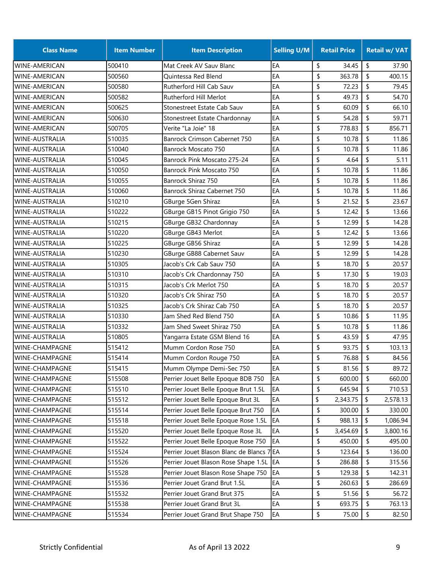| <b>Class Name</b>     | <b>Item Number</b> | <b>Item Description</b>                   | <b>Selling U/M</b> | <b>Retail Price</b> | <b>Retail w/ VAT</b> |
|-----------------------|--------------------|-------------------------------------------|--------------------|---------------------|----------------------|
| <b>WINE-AMERICAN</b>  | 500410             | Mat Creek AV Sauv Blanc                   | EA                 | \$<br>34.45         | \$<br>37.90          |
| <b>WINE-AMERICAN</b>  | 500560             | Quintessa Red Blend                       | EA                 | \$<br>363.78        | \$<br>400.15         |
| <b>WINE-AMERICAN</b>  | 500580             | Rutherford Hill Cab Sauv                  | EA                 | \$<br>72.23         | \$<br>79.45          |
| WINE-AMERICAN         | 500582             | Rutherford Hill Merlot                    | EA                 | \$<br>49.73         | \$<br>54.70          |
| WINE-AMERICAN         | 500625             | Stonestreet Estate Cab Sauv               | EA                 | \$<br>60.09         | \$<br>66.10          |
| WINE-AMERICAN         | 500630             | Stonestreet Estate Chardonnay             | EA                 | \$<br>54.28         | \$<br>59.71          |
| <b>WINE-AMERICAN</b>  | 500705             | Verite "La Joie" 18                       | EA                 | \$<br>778.83        | \$<br>856.71         |
| WINE-AUSTRALIA        | 510035             | Banrock Crimson Cabernet 750              | EA                 | \$<br>10.78         | \$<br>11.86          |
| <b>WINE-AUSTRALIA</b> | 510040             | Banrock Moscato 750                       | EA                 | \$<br>10.78         | \$<br>11.86          |
| <b>WINE-AUSTRALIA</b> | 510045             | Banrock Pink Moscato 275-24               | EA                 | \$<br>4.64          | \$<br>5.11           |
| <b>WINE-AUSTRALIA</b> | 510050             | Banrock Pink Moscato 750                  | EA                 | \$<br>10.78         | \$<br>11.86          |
| <b>WINE-AUSTRALIA</b> | 510055             | Banrock Shiraz 750                        | EA                 | \$<br>10.78         | \$<br>11.86          |
| <b>WINE-AUSTRALIA</b> | 510060             | Banrock Shiraz Cabernet 750               | EA                 | \$<br>10.78         | \$<br>11.86          |
| WINE-AUSTRALIA        | 510210             | GBurge 5Gen Shiraz                        | EA                 | \$<br>21.52         | \$<br>23.67          |
| <b>WINE-AUSTRALIA</b> | 510222             | GBurge GB15 Pinot Grigio 750              | EA                 | \$<br>12.42         | \$<br>13.66          |
| <b>WINE-AUSTRALIA</b> | 510215             | GBurge GB32 Chardonnay                    | EA                 | \$<br>12.99         | \$<br>14.28          |
| WINE-AUSTRALIA        | 510220             | GBurge GB43 Merlot                        | EA                 | \$<br>12.42         | \$<br>13.66          |
| WINE-AUSTRALIA        | 510225             | GBurge GB56 Shiraz                        | EA                 | \$<br>12.99         | \$<br>14.28          |
| <b>WINE-AUSTRALIA</b> | 510230             | GBurge GB88 Cabernet Sauv                 | EA                 | \$<br>12.99         | \$<br>14.28          |
| <b>WINE-AUSTRALIA</b> | 510305             | Jacob's Crk Cab Sauv 750                  | EA                 | \$<br>18.70         | \$<br>20.57          |
| <b>WINE-AUSTRALIA</b> | 510310             | Jacob's Crk Chardonnay 750                | EA                 | \$<br>17.30         | \$<br>19.03          |
| <b>WINE-AUSTRALIA</b> | 510315             | Jacob's Crk Merlot 750                    | EA                 | \$<br>18.70         | \$<br>20.57          |
| <b>WINE-AUSTRALIA</b> | 510320             | Jacob's Crk Shiraz 750                    | EA                 | \$<br>18.70         | \$<br>20.57          |
| <b>WINE-AUSTRALIA</b> | 510325             | Jacob's Crk Shiraz Cab 750                | EA                 | \$<br>18.70         | \$<br>20.57          |
| <b>WINE-AUSTRALIA</b> | 510330             | Jam Shed Red Blend 750                    | EA                 | \$<br>10.86         | \$<br>11.95          |
| WINE-AUSTRALIA        | 510332             | Jam Shed Sweet Shiraz 750                 | EA                 | \$<br>10.78         | \$<br>11.86          |
| <b>WINE-AUSTRALIA</b> | 510805             | Yangarra Estate GSM Blend 16              | EA                 | \$<br>43.59         | \$<br>47.95          |
| <b>WINE-CHAMPAGNE</b> | 515412             | Mumm Cordon Rose 750                      | EA                 | \$<br>93.75         | \$<br>103.13         |
| WINE-CHAMPAGNE        | 515414             | Mumm Cordon Rouge 750                     | EA                 | \$<br>76.88         | \$<br>84.56          |
| WINE-CHAMPAGNE        | 515415             | Mumm Olympe Demi-Sec 750                  | EA                 | \$<br>81.56         | \$<br>89.72          |
| WINE-CHAMPAGNE        | 515508             | Perrier Jouet Belle Epoque BDB 750        | EA                 | \$<br>600.00        | \$<br>660.00         |
| WINE-CHAMPAGNE        | 515510             | Perrier Jouet Belle Epoque Brut 1.5L      | EA                 | \$<br>645.94        | \$<br>710.53         |
| WINE-CHAMPAGNE        | 515512             | Perrier Jouet Belle Epoque Brut 3L        | EA                 | \$<br>2,343.75      | \$<br>2,578.13       |
| <b>WINE-CHAMPAGNE</b> | 515514             | Perrier Jouet Belle Epoque Brut 750       | EA                 | \$<br>300.00        | \$<br>330.00         |
| WINE-CHAMPAGNE        | 515518             | Perrier Jouet Belle Epoque Rose 1.5L      | EA                 | \$<br>988.13        | \$<br>1,086.94       |
| WINE-CHAMPAGNE        | 515520             | Perrier Jouet Belle Epoque Rose 3L        | EA                 | \$<br>3,454.69      | \$<br>3,800.16       |
| WINE-CHAMPAGNE        | 515522             | Perrier Jouet Belle Epoque Rose 750       | EA                 | \$<br>450.00        | \$<br>495.00         |
| WINE-CHAMPAGNE        | 515524             | Perrier Jouet Blason Blanc de Blancs 7 EA |                    | \$<br>123.64        | \$<br>136.00         |
| WINE-CHAMPAGNE        | 515526             | Perrier Jouet Blason Rose Shape 1.5L      | EA                 | \$<br>286.88        | \$<br>315.56         |
| WINE-CHAMPAGNE        | 515528             | Perrier Jouet Blason Rose Shape 750       | EA                 | \$<br>129.38        | \$<br>142.31         |
| WINE-CHAMPAGNE        | 515536             | Perrier Jouet Grand Brut 1.5L             | EA                 | \$<br>260.63        | \$<br>286.69         |
| WINE-CHAMPAGNE        | 515532             | Perrier Jouet Grand Brut 375              | EA                 | \$<br>51.56         | \$<br>56.72          |
| WINE-CHAMPAGNE        | 515538             | Perrier Jouet Grand Brut 3L               | EA                 | \$<br>693.75        | \$<br>763.13         |
| WINE-CHAMPAGNE        | 515534             | Perrier Jouet Grand Brut Shape 750        | EA                 | \$<br>75.00         | \$<br>82.50          |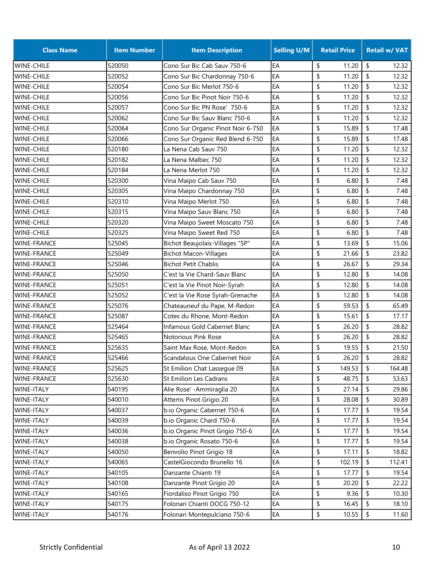| <b>Class Name</b>  | <b>Item Number</b> | <b>Item Description</b>           | <b>Selling U/M</b> | <b>Retail Price</b> | <b>Retail w/ VAT</b> |
|--------------------|--------------------|-----------------------------------|--------------------|---------------------|----------------------|
| <b>WINE-CHILE</b>  | 520050             | Cono Sur Bic Cab Sauv 750-6       | EA                 | \$<br>11.20         | \$<br>12.32          |
| <b>WINE-CHILE</b>  | 520052             | Cono Sur Bic Chardonnay 750-6     | EA                 | 11.20<br>\$         | \$<br>12.32          |
| <b>WINE-CHILE</b>  | 520054             | Cono Sur Bic Merlot 750-6         | EA                 | \$<br>11.20         | \$<br>12.32          |
| <b>WINE-CHILE</b>  | 520056             | Cono Sur Bic Pinot Noir 750-6     | EA                 | \$<br>11.20         | \$<br>12.32          |
| <b>WINE-CHILE</b>  | 520057             | Cono Sur Bic PN Rose' 750-6       | EA                 | \$<br>11.20         | \$<br>12.32          |
| <b>WINE-CHILE</b>  | 520062             | Cono Sur Bic Sauv Blanc 750-6     | EA                 | \$<br>11.20         | \$<br>12.32          |
| <b>WINE-CHILE</b>  | 520064             | Cono Sur Organic Pinot Noir 6-750 | EA                 | \$<br>15.89         | \$<br>17.48          |
| <b>WINE-CHILE</b>  | 520066             | Cono Sur Organic Red Blend 6-750  | EA                 | \$<br>15.89         | \$<br>17.48          |
| <b>WINE-CHILE</b>  | 520180             | La Nena Cab Sauv 750              | EA                 | \$<br>11.20         | \$<br>12.32          |
| <b>WINE-CHILE</b>  | 520182             | La Nena Malbec 750                | EA                 | \$<br>11.20         | \$<br>12.32          |
| <b>WINE-CHILE</b>  | 520184             | La Nena Merlot 750                | EA                 | \$<br>11.20         | \$<br>12.32          |
| <b>WINE-CHILE</b>  | 520300             | Vina Maipo Cab Sauv 750           | EA                 | \$<br>6.80          | \$<br>7.48           |
| <b>WINE-CHILE</b>  | 520305             | Vina Maipo Chardonnay 750         | EA                 | \$<br>6.80          | \$<br>7.48           |
| <b>WINE-CHILE</b>  | 520310             | Vina Maipo Merlot 750             | EA                 | \$<br>6.80          | \$<br>7.48           |
| <b>WINE-CHILE</b>  | 520315             | Vina Maipo Sauv Blanc 750         | EA                 | \$<br>6.80          | \$<br>7.48           |
| <b>WINE-CHILE</b>  | 520320             | Vina Maipo Sweet Moscato 750      | EA                 | \$<br>6.80          | \$<br>7.48           |
| <b>WINE-CHILE</b>  | 520325             | Vina Maipo Sweet Red 750          | EA                 | \$<br>6.80          | \$<br>7.48           |
| <b>WINE-FRANCE</b> | 525045             | Bichot Beaujolais-Villages "SP"   | EA                 | \$<br>13.69         | \$<br>15.06          |
| <b>WINE-FRANCE</b> | 525049             | <b>Bichot Macon-Villages</b>      | EA                 | \$<br>21.66         | \$<br>23.82          |
| <b>WINE-FRANCE</b> | 525046             | <b>Bichot Petit Chablis</b>       | EA                 | \$<br>26.67         | \$<br>29.34          |
| <b>WINE-FRANCE</b> | 525050             | C'est la Vie Chard-Sauv Blanc     | EA                 | \$<br>12.80         | \$<br>14.08          |
| <b>WINE-FRANCE</b> | 525051             | C'est la Vie Pinot Noir-Syrah     | EA                 | \$<br>12.80         | \$<br>14.08          |
| <b>WINE-FRANCE</b> | 525052             | C'est la Vie Rose Syrah-Grenache  | EA                 | \$<br>12.80         | \$<br>14.08          |
| <b>WINE-FRANCE</b> | 525076             | Chateauneuf du Pape, M-Redon      | EA                 | \$<br>59.53         | \$<br>65.49          |
| <b>WINE-FRANCE</b> | 525087             | Cotes du Rhone, Mont-Redon        | EA                 | \$<br>15.61         | \$<br>17.17          |
| <b>WINE-FRANCE</b> | 525464             | Infamous Gold Cabernet Blanc      | EA                 | \$<br>26.20         | \$<br>28.82          |
| <b>WINE-FRANCE</b> | 525465             | Notorious Pink Rose               | EA                 | \$<br>26.20         | \$<br>28.82          |
| <b>WINE-FRANCE</b> | 525635             | Saint Max Rose, Mont-Redon        | EA                 | \$<br>19.55         | \$<br>21.50          |
| <b>WINE-FRANCE</b> | 525466             | Scandalous One Cabernet Noir      | EA                 | \$<br>26.20         | \$<br>28.82          |
| <b>WINE-FRANCE</b> | 525625             | St Emilion Chat Lassegue 09       | EA                 | \$<br>149.53        | \$<br>164.48         |
| <b>WINE-FRANCE</b> | 525630             | St Emilion Les Cadrans            | EA                 | \$<br>48.75         | \$<br>53.63          |
| WINE-ITALY         | 540195             | Alie Rose' - Ammiraglia 20        | EA                 | \$<br>27.14         | 29.86<br>\$          |
| <b>WINE-ITALY</b>  | 540010             | Attems Pinot Grigio 20            | EA                 | \$<br>28.08         | \$<br>30.89          |
| WINE-ITALY         | 540037             | b.io Organic Cabernet 750-6       | EA                 | \$<br>17.77         | \$<br>19.54          |
| <b>WINE-ITALY</b>  | 540039             | b.io Organic Chard 750-6          | EA                 | \$<br>17.77         | \$<br>19.54          |
| WINE-ITALY         | 540036             | b.io Organic Pinot Grigio 750-6   | EA                 | \$<br>17.77         | \$<br>19.54          |
| WINE-ITALY         | 540038             | b.io Organic Rosato 750-6         | EA                 | \$<br>17.77         | \$<br>19.54          |
| WINE-ITALY         | 540050             | Benvolio Pinot Grigio 18          | EA                 | \$<br>17.11         | \$<br>18.82          |
| WINE-ITALY         | 540065             | CastelGiocondo Brunello 16        | EA                 | \$<br>102.19        | \$<br>112.41         |
| WINE-ITALY         | 540105             | Danzante Chianti 19               | EA                 | 17.77<br>\$         | \$<br>19.54          |
| WINE-ITALY         | 540108             | Danzante Pinot Grigio 20          | EA                 | \$<br>20.20         | \$<br>22.22          |
| WINE-ITALY         | 540165             | Fiordaliso Pinot Grigio 750       | EA                 | \$<br>9.36          | \$<br>10.30          |
| WINE-ITALY         | 540175             | Folonari Chianti DOCG 750-12      | EA                 | \$<br>16.45         | \$<br>18.10          |
| WINE-ITALY         | 540176             | Folonari Montepulciano 750-6      | EA                 | \$<br>10.55         | \$<br>11.60          |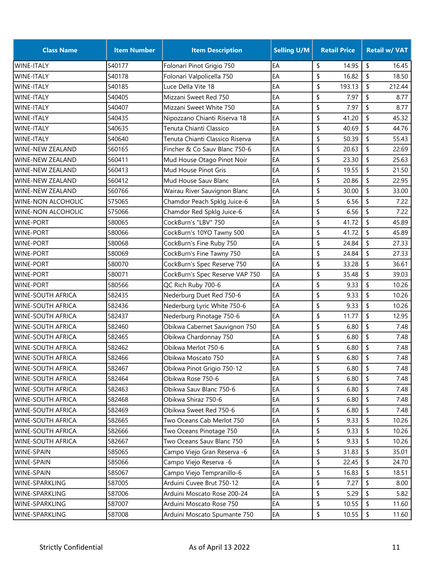| <b>Class Name</b>         | <b>Item Number</b> | <b>Item Description</b>         | <b>Selling U/M</b> | <b>Retail Price</b> | <b>Retail w/ VAT</b> |
|---------------------------|--------------------|---------------------------------|--------------------|---------------------|----------------------|
| <b>WINE-ITALY</b>         | 540177             | Folonari Pinot Grigio 750       | EA                 | \$<br>14.95         | \$<br>16.45          |
| <b>WINE-ITALY</b>         | 540178             | Folonari Valpolicella 750       | EA                 | \$<br>16.82         | \$<br>18.50          |
| <b>WINE-ITALY</b>         | 540185             | Luce Della Vite 18              | EA                 | \$<br>193.13        | \$<br>212.44         |
| <b>WINE-ITALY</b>         | 540405             | Mizzani Sweet Red 750           | EA                 | \$<br>7.97          | \$<br>8.77           |
| WINE-ITALY                | 540407             | Mizzani Sweet White 750         | EA                 | \$<br>7.97          | \$<br>8.77           |
| <b>WINE-ITALY</b>         | 540435             | Nipozzano Chianti Riserva 18    | EA                 | \$<br>41.20         | \$<br>45.32          |
| <b>WINE-ITALY</b>         | 540635             | Tenuta Chianti Classico         | EA                 | \$<br>40.69         | $\sqrt{2}$<br>44.76  |
| <b>WINE-ITALY</b>         | 540640             | Tenuta Chianti Classico Riserva | EA                 | \$<br>50.39         | \$<br>55.43          |
| <b>WINE-NEW ZEALAND</b>   | 560165             | Fincher & Co Sauv Blanc 750-6   | EA                 | \$<br>20.63         | \$<br>22.69          |
| <b>WINE-NEW ZEALAND</b>   | 560411             | Mud House Otago Pinot Noir      | EA                 | \$<br>23.30         | \$<br>25.63          |
| <b>WINE-NEW ZEALAND</b>   | 560413             | Mud House Pinot Gris            | EA                 | \$<br>19.55         | \$<br>21.50          |
| <b>WINE-NEW ZEALAND</b>   | 560412             | Mud House Sauv Blanc            | EA                 | \$<br>20.86         | \$<br>22.95          |
| <b>WINE-NEW ZEALAND</b>   | 560766             | Wairau River Sauvignon Blanc    | EA                 | \$<br>30.00         | \$<br>33.00          |
| <b>WINE-NON ALCOHOLIC</b> | 575065             | Chamdor Peach Spklg Juice-6     | EA                 | \$<br>6.56          | \$<br>7.22           |
| <b>WINE-NON ALCOHOLIC</b> | 575066             | Chamdor Red Spklg Juice-6       | EA                 | \$<br>6.56          | \$<br>7.22           |
| <b>WINE-PORT</b>          | 580065             | CockBurn's "LBV" 750            | EA                 | \$<br>41.72         | \$<br>45.89          |
| <b>WINE-PORT</b>          | 580066             | CockBurn's 10YO Tawny 500       | EA                 | \$<br>41.72         | \$<br>45.89          |
| <b>WINE-PORT</b>          | 580068             | CockBurn's Fine Ruby 750        | EA                 | \$<br>24.84         | \$<br>27.33          |
| WINE-PORT                 | 580069             | CockBurn's Fine Tawny 750       | EA                 | \$<br>24.84         | \$<br>27.33          |
| <b>WINE-PORT</b>          | 580070             | CockBurn's Spec Reserve 750     | EA                 | \$<br>33.28         | \$<br>36.61          |
| <b>WINE-PORT</b>          | 580071             | CockBurn's Spec Reserve VAP 750 | EA                 | \$<br>35.48         | \$<br>39.03          |
| <b>WINE-PORT</b>          | 580566             | QC Rich Ruby 700-6              | EA                 | \$<br>9.33          | \$<br>10.26          |
| <b>WINE-SOUTH AFRICA</b>  | 582435             | Nederburg Duet Red 750-6        | EA                 | \$<br>9.33          | \$<br>10.26          |
| <b>WINE-SOUTH AFRICA</b>  | 582436             | Nederburg Lyric White 750-6     | EA                 | \$<br>9.33          | \$<br>10.26          |
| <b>WINE-SOUTH AFRICA</b>  | 582437             | Nederburg Pinotage 750-6        | EA                 | \$<br>11.77         | \$<br>12.95          |
| <b>WINE-SOUTH AFRICA</b>  | 582460             | Obikwa Cabernet Sauvignon 750   | EA                 | \$<br>6.80          | \$<br>7.48           |
| <b>WINE-SOUTH AFRICA</b>  | 582465             | Obikwa Chardonnay 750           | EA                 | \$<br>6.80          | \$<br>7.48           |
| <b>WINE-SOUTH AFRICA</b>  | 582462             | Obikwa Merlot 750-6             | EA                 | \$<br>6.80          | \$<br>7.48           |
| <b>WINE-SOUTH AFRICA</b>  | 582466             | Obikwa Moscato 750              | EA                 | \$<br>6.80          | \$<br>7.48           |
| <b>WINE-SOUTH AFRICA</b>  | 582467             | Obikwa Pinot Grigio 750-12      | EA                 | \$<br>6.80          | $\sqrt{2}$<br>7.48   |
| <b>WINE-SOUTH AFRICA</b>  | 582464             | Obikwa Rose 750-6               | EA                 | \$<br>6.80          | \$<br>7.48           |
| <b>WINE-SOUTH AFRICA</b>  | 582463             | Obikwa Sauv Blanc 750-6         | EA                 | \$<br>6.80          | \$<br>7.48           |
| <b>WINE-SOUTH AFRICA</b>  | 582468             | Obikwa Shiraz 750-6             | EA                 | \$<br>6.80          | \$<br>7.48           |
| <b>WINE-SOUTH AFRICA</b>  | 582469             | Obikwa Sweet Red 750-6          | EA                 | \$<br>6.80          | \$<br>7.48           |
| <b>WINE-SOUTH AFRICA</b>  | 582665             | Two Oceans Cab Merlot 750       | EA                 | \$<br>9.33          | 10.26<br>\$          |
| <b>WINE-SOUTH AFRICA</b>  | 582666             | Two Oceans Pinotage 750         | EA                 | \$<br>9.33          | -\$<br>10.26         |
| <b>WINE-SOUTH AFRICA</b>  | 582667             | Two Oceans Sauv Blanc 750       | EA                 | \$<br>9.33          | 10.26<br>-S          |
| <b>WINE-SPAIN</b>         | 585065             | Campo Viejo Gran Reserva -6     | EA                 | \$<br>31.83         | \$<br>35.01          |
| <b>WINE-SPAIN</b>         | 585066             | Campo Viejo Reserva -6          | EA                 | \$<br>22.45         | \$<br>24.70          |
| <b>WINE-SPAIN</b>         | 585067             | Campo Viejo Tempranillo-6       | EA                 | \$<br>16.83         | \$<br>18.51          |
| <b>WINE-SPARKLING</b>     | 587005             | Arduini Cuvee Brut 750-12       | EA                 | \$<br>7.27          | \$<br>8.00           |
| WINE-SPARKLING            | 587006             | Arduini Moscato Rose 200-24     | EA                 | \$<br>5.29          | 5.82<br>\$           |
| <b>WINE-SPARKLING</b>     | 587007             | Arduini Moscato Rose 750        | EA                 | \$<br>10.55         | \$<br>11.60          |
| <b>WINE-SPARKLING</b>     | 587008             | Arduini Moscato Spumante 750    | EA                 | \$<br>10.55         | $\sqrt{2}$<br>11.60  |